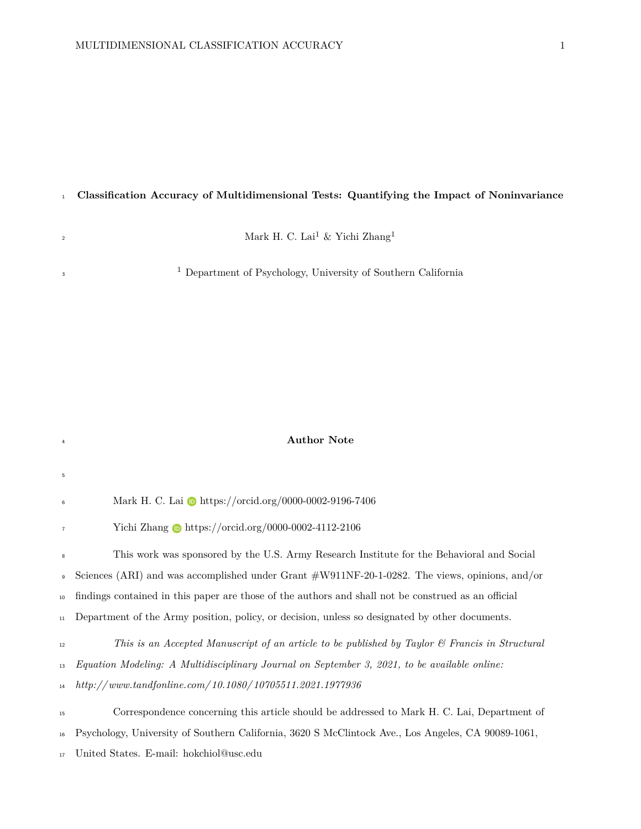# **Classification Accuracy of Multidimensional Tests: Quantifying the Impact of Noninvariance**

Mark H. C. Lai $^1$  & Yichi Zhang $^1$ 

Department of Psychology, University of Southern California

## **Author Note**

| 5              |                                                                                                           |
|----------------|-----------------------------------------------------------------------------------------------------------|
| $\,$ 6 $\,$    | Mark H. C. Lai to https://orcid.org/0000-0002-9196-7406                                                   |
| $\overline{7}$ | Yichi Zhang $\bullet$ https://orcid.org/0000-0002-4112-2106                                               |
| $\bf 8$        | This work was sponsored by the U.S. Army Research Institute for the Behavioral and Social                 |
|                | Sciences (ARI) and was accomplished under Grant $\#W911NF-20-1-0282$ . The views, opinions, and/or        |
| 10             | findings contained in this paper are those of the authors and shall not be construed as an official       |
| 11             | Department of the Army position, policy, or decision, unless so designated by other documents.            |
| 12             | This is an Accepted Manuscript of an article to be published by Taylor $\mathcal C$ Francis in Structural |
| 13             | Equation Modeling: A Multidisciplinary Journal on September 3, 2021, to be available online:              |
| 14             | $http://www.tandfonline.com/10.1080/10705511.2021.1977936$                                                |
| 15             | Correspondence concerning this article should be addressed to Mark H. C. Lai, Department of               |
| $16\,$         | Psychology, University of Southern California, 3620 S McClintock Ave., Los Angeles, CA 90089-1061,        |

United States. E-mail: [hokchiol@usc.edu](mailto:hokchiol@usc.edu)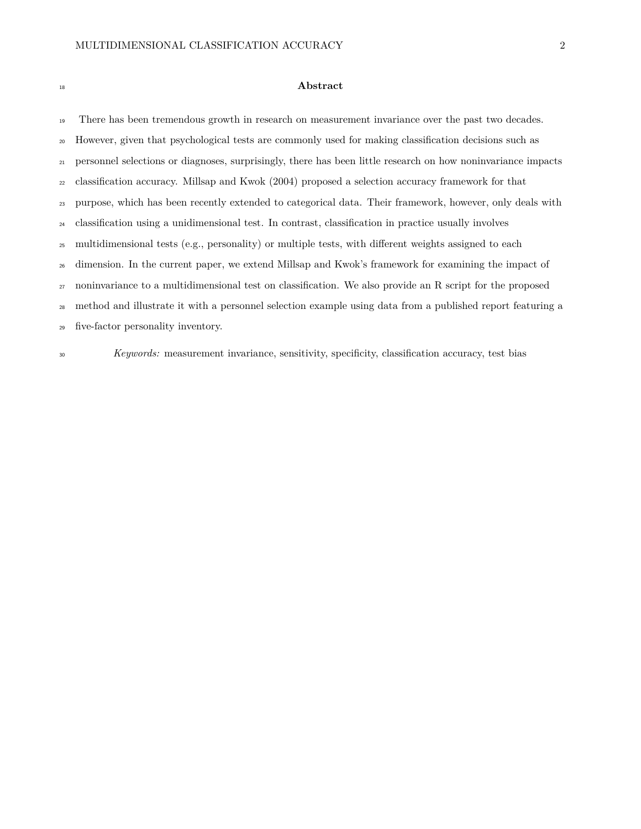#### **Abstract**

 There has been tremendous growth in research on measurement invariance over the past two decades. However, given that psychological tests are commonly used for making classification decisions such as personnel selections or diagnoses, surprisingly, there has been little research on how noninvariance impacts classification accuracy. Millsap and Kwok [\(2004\)](#page-19-0) proposed a selection accuracy framework for that purpose, which has been recently extended to categorical data. Their framework, however, only deals with classification using a unidimensional test. In contrast, classification in practice usually involves multidimensional tests (e.g., personality) or multiple tests, with different weights assigned to each dimension. In the current paper, we extend Millsap and Kwok's framework for examining the impact of noninvariance to a multidimensional test on classification. We also provide an R script for the proposed method and illustrate it with a personnel selection example using data from a published report featuring a five-factor personality inventory.

*Keywords:* measurement invariance, sensitivity, specificity, classification accuracy, test bias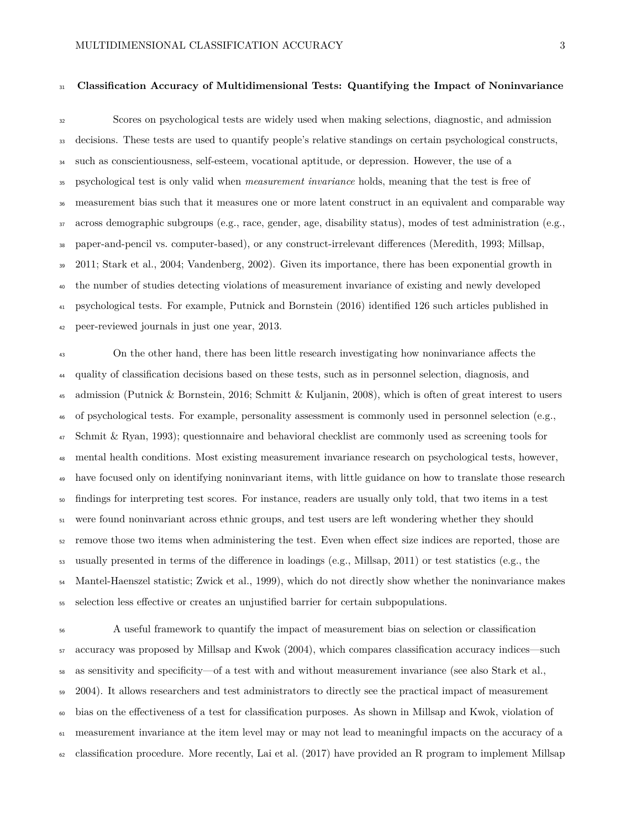### **Classification Accuracy of Multidimensional Tests: Quantifying the Impact of Noninvariance**

 Scores on psychological tests are widely used when making selections, diagnostic, and admission decisions. These tests are used to quantify people's relative standings on certain psychological constructs, such as conscientiousness, self-esteem, vocational aptitude, or depression. However, the use of a psychological test is only valid when *measurement invariance* holds, meaning that the test is free of measurement bias such that it measures one or more latent construct in an equivalent and comparable way across demographic subgroups (e.g., race, gender, age, disability status), modes of test administration (e.g., paper-and-pencil vs. computer-based), or any construct-irrelevant differences (Meredith, [1993;](#page-18-0) Millsap, [2011;](#page-18-1) Stark et al., [2004;](#page-19-1) Vandenberg, [2002\)](#page-20-0). Given its importance, there has been exponential growth in the number of studies detecting violations of measurement invariance of existing and newly developed psychological tests. For example, Putnick and Bornstein [\(2016\)](#page-19-2) identified 126 such articles published in peer-reviewed journals in just one year, 2013.

<sup>43</sup> On the other hand, there has been little research investigating how noninvariance affects the quality of classification decisions based on these tests, such as in personnel selection, diagnosis, and admission (Putnick & Bornstein, [2016;](#page-19-2) Schmitt & Kuljanin, [2008\)](#page-19-3), which is often of great interest to users of psychological tests. For example, personality assessment is commonly used in personnel selection (e.g., Schmit & Ryan, [1993\)](#page-19-4); questionnaire and behavioral checklist are commonly used as screening tools for mental health conditions. Most existing measurement invariance research on psychological tests, however, have focused only on identifying noninvariant items, with little guidance on how to translate those research findings for interpreting test scores. For instance, readers are usually only told, that two items in a test were found noninvariant across ethnic groups, and test users are left wondering whether they should remove those two items when administering the test. Even when effect size indices are reported, those are usually presented in terms of the difference in loadings (e.g., Millsap, [2011\)](#page-18-1) or test statistics (e.g., the Mantel-Haenszel statistic; Zwick et al., [1999\)](#page-20-1), which do not directly show whether the noninvariance makes selection less effective or creates an unjustified barrier for certain subpopulations.

 A useful framework to quantify the impact of measurement bias on selection or classification accuracy was proposed by Millsap and Kwok [\(2004\)](#page-19-0), which compares classification accuracy indices—such as sensitivity and specificity—of a test with and without measurement invariance (see also Stark et al., [2004\)](#page-19-1). It allows researchers and test administrators to directly see the practical impact of measurement bias on the effectiveness of a test for classification purposes. As shown in Millsap and Kwok, violation of measurement invariance at the item level may or may not lead to meaningful impacts on the accuracy of a classification procedure. More recently, Lai et al. [\(2017\)](#page-18-2) have provided an R program to implement Millsap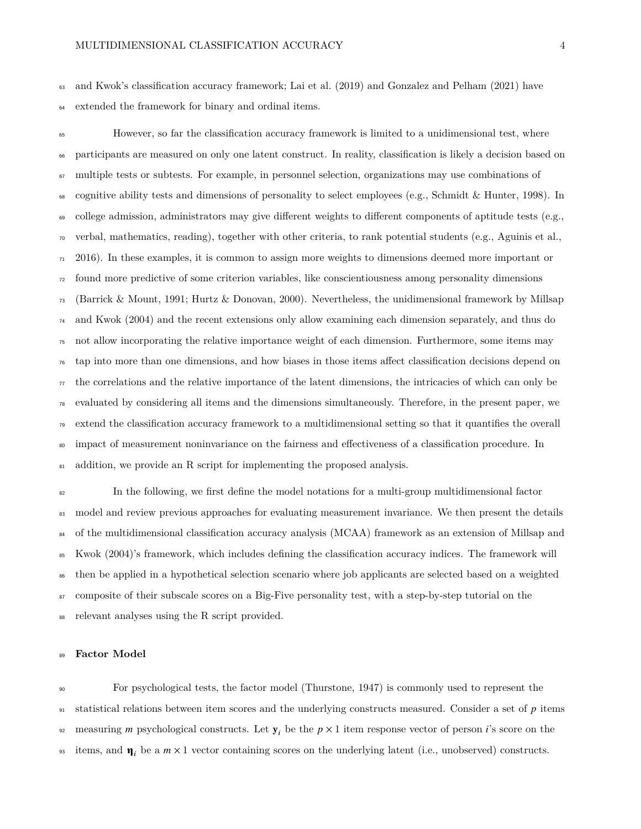and Kwok's classification accuracy framework; Lai et al. [\(2019\)](#page-18-3) and Gonzalez and Pelham [\(2021\)](#page-18-4) have extended the framework for binary and ordinal items.

 However, so far the classification accuracy framework is limited to a unidimensional test, where participants are measured on only one latent construct. In reality, classification is likely a decision based on multiple tests or subtests. For example, in personnel selection, organizations may use combinations of cognitive ability tests and dimensions of personality to select employees (e.g., Schmidt & Hunter, [1998\)](#page-19-5). In college admission, administrators may give different weights to different components of aptitude tests (e.g., verbal, mathematics, reading), together with other criteria, to rank potential students (e.g., Aguinis et al., [2016\)](#page-17-0). In these examples, it is common to assign more weights to dimensions deemed more important or found more predictive of some criterion variables, like conscientiousness among personality dimensions (Barrick & Mount, [1991;](#page-17-1) Hurtz & Donovan, [2000\)](#page-18-5). Nevertheless, the unidimensional framework by Millsap and Kwok [\(2004\)](#page-19-0) and the recent extensions only allow examining each dimension separately, and thus do not allow incorporating the relative importance weight of each dimension. Furthermore, some items may tap into more than one dimensions, and how biases in those items affect classification decisions depend on  $\tau_7$  the correlations and the relative importance of the latent dimensions, the intricacies of which can only be evaluated by considering all items and the dimensions simultaneously. Therefore, in the present paper, we extend the classification accuracy framework to a multidimensional setting so that it quantifies the overall <sup>80</sup> impact of measurement noninvariance on the fairness and effectiveness of a classification procedure. In <sup>81</sup> addition, we provide an R script for implementing the proposed analysis.

 In the following, we first define the model notations for a multi-group multidimensional factor <sup>83</sup> model and review previous approaches for evaluating measurement invariance. We then present the details <sup>84</sup> of the multidimensional classification accuracy analysis (MCAA) framework as an extension of Millsap and Kwok [\(2004\)](#page-19-0)'s framework, which includes defining the classification accuracy indices. The framework will then be applied in a hypothetical selection scenario where job applicants are selected based on a weighted <sup>87</sup> composite of their subscale scores on a Big-Five personality test, with a step-by-step tutorial on the relevant analyses using the R script provided.

#### **Factor Model**

 For psychological tests, the factor model (Thurstone, [1947\)](#page-20-2) is commonly used to represent the statistical relations between item scores and the underlying constructs measured. Consider a set of  $p$  items 92 measuring *m* psychological constructs. Let  $y_i$  be the  $p \times 1$  item response vector of person *i*'s score on the <sup>93</sup> items, and  $\eta_i$  be a  $m \times 1$  vector containing scores on the underlying latent (i.e., unobserved) constructs.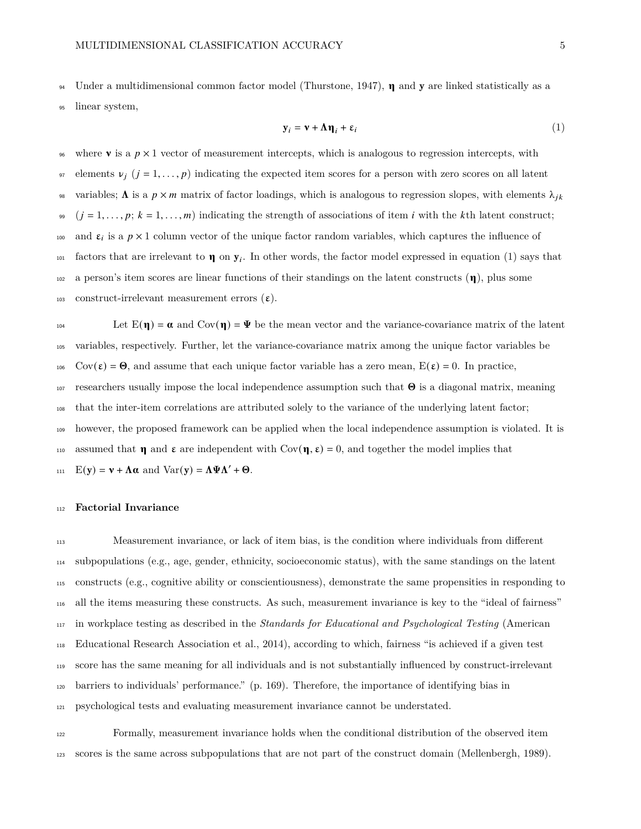<span id="page-4-0"></span><sup>94</sup> Under a multidimensional common factor model (Thurstone, [1947\)](#page-20-2),  $\eta$  and **y** are linked statistically as a

<sup>95</sup> linear system,

$$
\mathbf{y}_i = \mathbf{v} + \mathbf{\Lambda} \mathbf{\eta}_i + \varepsilon_i \tag{1}
$$

<sup>96</sup> where **v** is a  $p \times 1$  vector of measurement intercepts, which is analogous to regression intercepts, with 97 elements  $v_j$  ( $j = 1, ..., p$ ) indicating the expected item scores for a person with zero scores on all latent variables;  $\Lambda$  is a  $p \times m$  matrix of factor loadings, which is analogous to regression slopes, with elements  $\lambda_{jk}$  $99 \quad (j = 1, \ldots, p; k = 1, \ldots, m)$  indicating the strength of associations of item *i* with the k<sup>th</sup> latent construct; 100 and  $\varepsilon_i$  is a  $p \times 1$  column vector of the unique factor random variables, which captures the influence of  $f_{101}$  factors that are irrelevant to  $\eta$  on  $y_i$ . In other words, the factor model expressed in equation [\(1\)](#page-4-0) says that  $102$  a person's item scores are linear functions of their standings on the latent constructs  $(\eta)$ , plus some 103 construct-irrelevant measurement errors  $(\varepsilon)$ .

Let  $E(\eta) = \alpha$  and  $Cov(\eta) = \Psi$  be the mean vector and the variance-covariance matrix of the latent <sup>105</sup> variables, respectively. Further, let the variance-covariance matrix among the unique factor variables be 106 Cov( $\varepsilon$ ) =  $\Theta$ , and assume that each unique factor variable has a zero mean,  $E(\varepsilon) = 0$ . In practice, 107 researchers usually impose the local independence assumption such that  $\Theta$  is a diagonal matrix, meaning <sup>108</sup> that the inter-item correlations are attributed solely to the variance of the underlying latent factor; <sup>109</sup> however, the proposed framework can be applied when the local independence assumption is violated. It is 110 assumed that **n** and  $\varepsilon$  are independent with  $Cov(\eta, \varepsilon) = 0$ , and together the model implies that 111  $E(y) = v + \Lambda \alpha$  and  $Var(y) = \Lambda \Psi \Lambda' + \Theta$ .

#### <sup>112</sup> **Factorial Invariance**

 Measurement invariance, or lack of item bias, is the condition where individuals from different subpopulations (e.g., age, gender, ethnicity, socioeconomic status), with the same standings on the latent constructs (e.g., cognitive ability or conscientiousness), demonstrate the same propensities in responding to all the items measuring these constructs. As such, measurement invariance is key to the "ideal of fairness" in workplace testing as described in the *Standards for Educational and Psychological Testing* (American Educational Research Association et al., [2014\)](#page-17-2), according to which, fairness "is achieved if a given test score has the same meaning for all individuals and is not substantially influenced by construct-irrelevant barriers to individuals' performance." (p. 169). Therefore, the importance of identifying bias in psychological tests and evaluating measurement invariance cannot be understated.

<sup>122</sup> Formally, measurement invariance holds when the conditional distribution of the observed item <sup>123</sup> scores is the same across subpopulations that are not part of the construct domain (Mellenbergh, [1989\)](#page-18-6).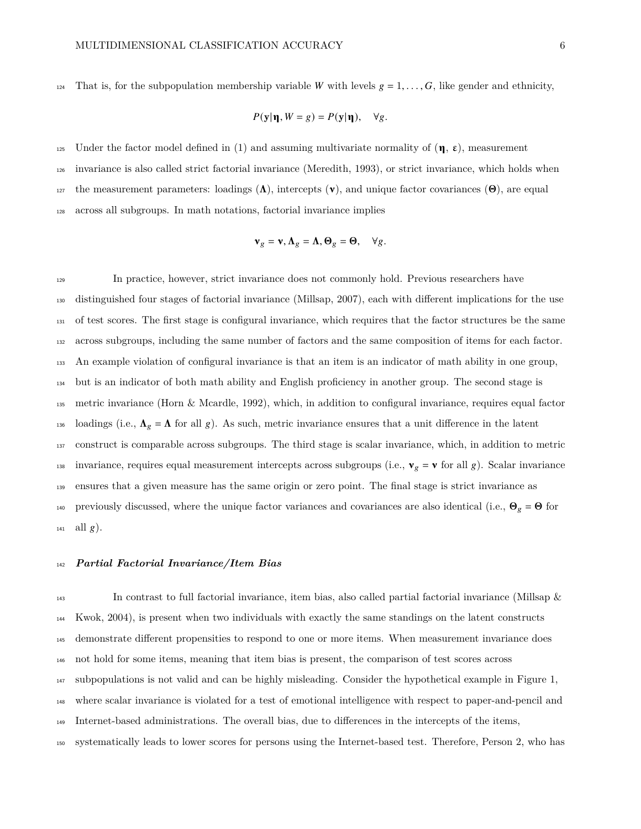124 That is, for the subpopulation membership variable W with levels  $g = 1, \ldots, G$ , like gender and ethnicity,

$$
P(\mathbf{y}|\mathbf{n}, W = g) = P(\mathbf{y}|\mathbf{n}), \quad \forall g.
$$

125 Under the factor model defined in [\(1\)](#page-4-0) and assuming multivariate normality of  $(\eta, \varepsilon)$ , measurement invariance is also called strict factorial invariance (Meredith, [1993\)](#page-18-0), or strict invariance, which holds when 127 the measurement parameters: loadings  $(\Lambda)$ , intercepts  $(\nu)$ , and unique factor covariances  $(\Theta)$ , are equal across all subgroups. In math notations, factorial invariance implies

$$
\mathbf{v}_g = \mathbf{v}, \mathbf{\Lambda}_g = \mathbf{\Lambda}, \mathbf{\Theta}_g = \mathbf{\Theta}, \quad \forall g.
$$

 In practice, however, strict invariance does not commonly hold. Previous researchers have distinguished four stages of factorial invariance (Millsap, [2007\)](#page-18-7), each with different implications for the use of test scores. The first stage is configural invariance, which requires that the factor structures be the same across subgroups, including the same number of factors and the same composition of items for each factor. An example violation of configural invariance is that an item is an indicator of math ability in one group, but is an indicator of both math ability and English proficiency in another group. The second stage is metric invariance (Horn & Mcardle, [1992\)](#page-18-8), which, in addition to configural invariance, requires equal factor 136 loadings (i.e.,  $\Lambda_g = \Lambda$  for all g). As such, metric invariance ensures that a unit difference in the latent construct is comparable across subgroups. The third stage is scalar invariance, which, in addition to metric 138 invariance, requires equal measurement intercepts across subgroups (i.e.,  $\mathbf{v}_g = \mathbf{v}$  for all g). Scalar invariance ensures that a given measure has the same origin or zero point. The final stage is strict invariance as 140 previously discussed, where the unique factor variances and covariances are also identical (i.e.,  $\Theta_g = \Theta$  for  $_{141}$  all  $g$ ).

#### *Partial Factorial Invariance/Item Bias*

 In contrast to full factorial invariance, item bias, also called partial factorial invariance (Millsap & Kwok, [2004\)](#page-19-0), is present when two individuals with exactly the same standings on the latent constructs demonstrate different propensities to respond to one or more items. When measurement invariance does not hold for some items, meaning that item bias is present, the comparison of test scores across subpopulations is not valid and can be highly misleading. Consider the hypothetical example in Figure [1,](#page-25-0) where scalar invariance is violated for a test of emotional intelligence with respect to paper-and-pencil and Internet-based administrations. The overall bias, due to differences in the intercepts of the items, systematically leads to lower scores for persons using the Internet-based test. Therefore, Person 2, who has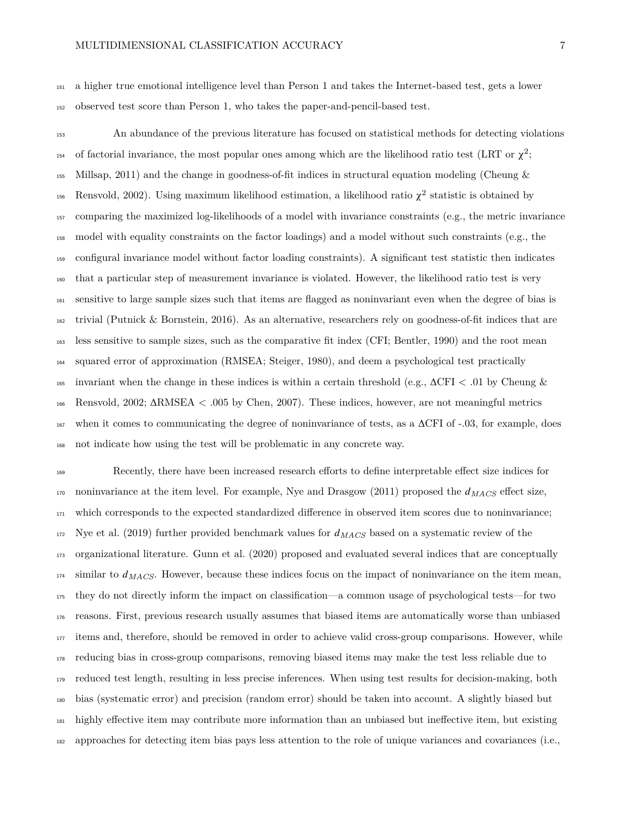a higher true emotional intelligence level than Person 1 and takes the Internet-based test, gets a lower observed test score than Person 1, who takes the paper-and-pencil-based test.

 An abundance of the previous literature has focused on statistical methods for detecting violations 154 of factorial invariance, the most popular ones among which are the likelihood ratio test (LRT or  $\chi^2$ ; Millsap, [2011\)](#page-18-1) and the change in goodness-of-fit indices in structural equation modeling (Cheung & <sup>156</sup> Rensvold, [2002\)](#page-17-3). Using maximum likelihood estimation, a likelihood ratio  $\chi^2$  statistic is obtained by comparing the maximized log-likelihoods of a model with invariance constraints (e.g., the metric invariance model with equality constraints on the factor loadings) and a model without such constraints (e.g., the configural invariance model without factor loading constraints). A significant test statistic then indicates that a particular step of measurement invariance is violated. However, the likelihood ratio test is very sensitive to large sample sizes such that items are flagged as noninvariant even when the degree of bias is trivial (Putnick & Bornstein, [2016\)](#page-19-2). As an alternative, researchers rely on goodness-of-fit indices that are less sensitive to sample sizes, such as the comparative fit index (CFI; Bentler, [1990\)](#page-17-4) and the root mean squared error of approximation (RMSEA; Steiger, [1980\)](#page-19-6), and deem a psychological test practically 165 invariant when the change in these indices is within a certain threshold (e.g.,  $\Delta$ CFI < .01 by Cheung & Rensvold, [2002;](#page-17-3) ΔRMSEA < .005 by Chen, [2007\)](#page-17-5). These indices, however, are not meaningful metrics when it comes to communicating the degree of noninvariance of tests, as a ΔCFI of -.03, for example, does not indicate how using the test will be problematic in any concrete way.

 Recently, there have been increased research efforts to define interpretable effect size indices for 170 noninvariance at the item level. For example, Nye and Drasgow [\(2011\)](#page-19-7) proposed the  $d_{MACS}$  effect size, which corresponds to the expected standardized difference in observed item scores due to noninvariance; Nye et al. [\(2019\)](#page-19-8) further provided benchmark values for *MACS* based on a systematic review of the organizational literature. Gunn et al. [\(2020\)](#page-18-9) proposed and evaluated several indices that are conceptually similar to *MACS*. However, because these indices focus on the impact of noninvariance on the item mean, they do not directly inform the impact on classification—a common usage of psychological tests—for two reasons. First, previous research usually assumes that biased items are automatically worse than unbiased items and, therefore, should be removed in order to achieve valid cross-group comparisons. However, while reducing bias in cross-group comparisons, removing biased items may make the test less reliable due to reduced test length, resulting in less precise inferences. When using test results for decision-making, both bias (systematic error) and precision (random error) should be taken into account. A slightly biased but highly effective item may contribute more information than an unbiased but ineffective item, but existing approaches for detecting item bias pays less attention to the role of unique variances and covariances (i.e.,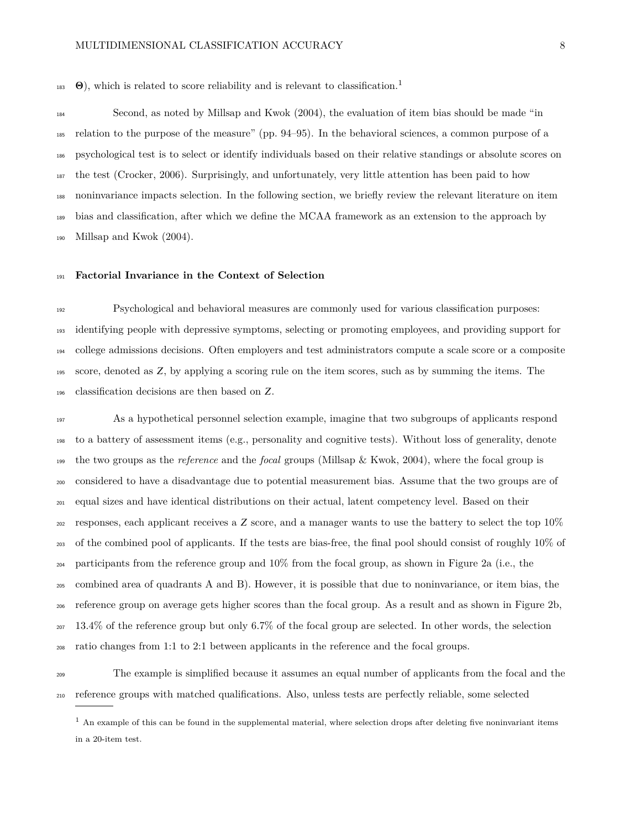$\Theta$ ), which is related to score reliability and is relevant to classification.<sup>[1](#page-7-0)</sup> 

 Second, as noted by Millsap and Kwok [\(2004\)](#page-19-0), the evaluation of item bias should be made "in relation to the purpose of the measure" (pp. 94–95). In the behavioral sciences, a common purpose of a psychological test is to select or identify individuals based on their relative standings or absolute scores on the test (Crocker, [2006\)](#page-17-6). Surprisingly, and unfortunately, very little attention has been paid to how noninvariance impacts selection. In the following section, we briefly review the relevant literature on item bias and classification, after which we define the MCAA framework as an extension to the approach by Millsap and Kwok [\(2004\)](#page-19-0).

#### **Factorial Invariance in the Context of Selection**

 Psychological and behavioral measures are commonly used for various classification purposes: identifying people with depressive symptoms, selecting or promoting employees, and providing support for college admissions decisions. Often employers and test administrators compute a scale score or a composite 195 score, denoted as  $Z$ , by applying a scoring rule on the item scores, such as by summing the items. The classification decisions are then based on Z.

 As a hypothetical personnel selection example, imagine that two subgroups of applicants respond to a battery of assessment items (e.g., personality and cognitive tests). Without loss of generality, denote the two groups as the *reference* and the *focal* groups (Millsap & Kwok, [2004\)](#page-19-0), where the focal group is considered to have a disadvantage due to potential measurement bias. Assume that the two groups are of equal sizes and have identical distributions on their actual, latent competency level. Based on their <sup>202</sup> responses, each applicant receives a  $Z$  score, and a manager wants to use the battery to select the top  $10\%$  of the combined pool of applicants. If the tests are bias-free, the final pool should consist of roughly 10% of participants from the reference group and 10% from the focal group, as shown in Figure [2a](#page-26-0) (i.e., the combined area of quadrants A and B). However, it is possible that due to noninvariance, or item bias, the reference group on average gets higher scores than the focal group. As a result and as shown in Figure [2b](#page-26-0), 13.4% of the reference group but only 6.7% of the focal group are selected. In other words, the selection ratio changes from 1:1 to 2:1 between applicants in the reference and the focal groups.

 The example is simplified because it assumes an equal number of applicants from the focal and the reference groups with matched qualifications. Also, unless tests are perfectly reliable, some selected

<span id="page-7-0"></span> $<sup>1</sup>$  An example of this can be found in the supplemental material, where selection drops after deleting five noninvariant items</sup> in a 20-item test.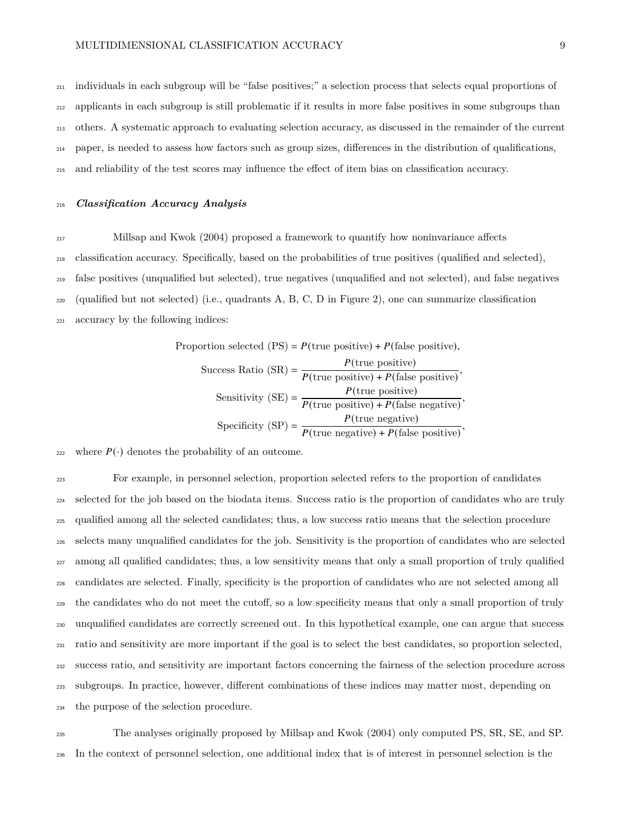individuals in each subgroup will be "false positives;" a selection process that selects equal proportions of applicants in each subgroup is still problematic if it results in more false positives in some subgroups than others. A systematic approach to evaluating selection accuracy, as discussed in the remainder of the current paper, is needed to assess how factors such as group sizes, differences in the distribution of qualifications, and reliability of the test scores may influence the effect of item bias on classification accuracy.

*Classification Accuracy Analysis*

Millsap and Kwok [\(2004\)](#page-19-0) proposed a framework to quantify how noninvariance affects

classification accuracy. Specifically, based on the probabilities of true positives (qualified and selected),

false positives (unqualified but selected), true negatives (unqualified and not selected), and false negatives

 $_{220}$  (qualified but not selected) (i.e., quadrants A, B, C, D in Figure [2\)](#page-26-0), one can summarize classification

accuracy by the following indices:

Proportion selected  $(PS) = P(\text{true positive}) + P(\text{false positive}),$ Success Ratio (SR) =  $\frac{P(\text{true positive})}{P(\text{true positive})}$  $P(\text{true positive})$ <br> $P(\text{true positive}) + P(\text{false positive})$ , Sensitivity (SE) =  $\frac{P(\text{true positive})}{P(\text{true positive})}$  $P(\text{true positive}) + P(\text{false negative})$ ,<br> $P(\text{true positive}) + P(\text{false negative})$ Specificity  $(SP) = \frac{P(\text{true negative})}{P(\text{true positive})}$  $P(\text{true negative})$ <br> $P(\text{true negative}) + P(\text{false positive})$ ,

222 where  $P(\cdot)$  denotes the probability of an outcome.

 For example, in personnel selection, proportion selected refers to the proportion of candidates selected for the job based on the biodata items. Success ratio is the proportion of candidates who are truly qualified among all the selected candidates; thus, a low success ratio means that the selection procedure selects many unqualified candidates for the job. Sensitivity is the proportion of candidates who are selected among all qualified candidates; thus, a low sensitivity means that only a small proportion of truly qualified candidates are selected. Finally, specificity is the proportion of candidates who are not selected among all the candidates who do not meet the cutoff, so a low specificity means that only a small proportion of truly unqualified candidates are correctly screened out. In this hypothetical example, one can argue that success ratio and sensitivity are more important if the goal is to select the best candidates, so proportion selected, success ratio, and sensitivity are important factors concerning the fairness of the selection procedure across subgroups. In practice, however, different combinations of these indices may matter most, depending on the purpose of the selection procedure.

 The analyses originally proposed by Millsap and Kwok [\(2004\)](#page-19-0) only computed PS, SR, SE, and SP. In the context of personnel selection, one additional index that is of interest in personnel selection is the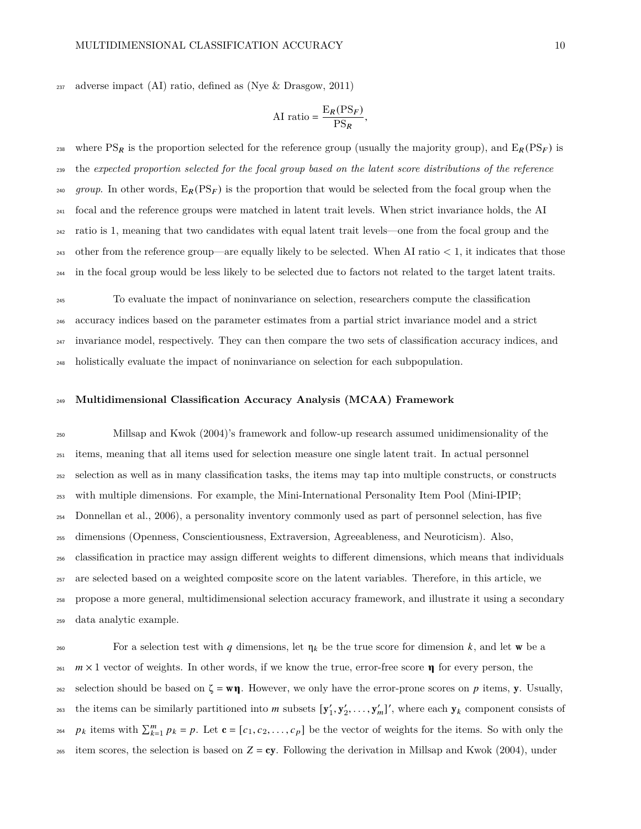adverse impact (AI) ratio, defined as (Nye & Drasgow, [2011\)](#page-19-7)

$$
AI ratio = \frac{E_R(PS_F)}{PS_R},
$$

<sup>238</sup> where PS<sub>R</sub> is the proportion selected for the reference group (usually the majority group), and  $E_R(PS_F)$  is the *expected proportion selected for the focal group based on the latent score distributions of the reference* <sup>240</sup> group. In other words,  $E_R(PS_F)$  is the proportion that would be selected from the focal group when the focal and the reference groups were matched in latent trait levels. When strict invariance holds, the AI ratio is 1, meaning that two candidates with equal latent trait levels—one from the focal group and the 243 other from the reference group—are equally likely to be selected. When AI ratio  $< 1$ , it indicates that those in the focal group would be less likely to be selected due to factors not related to the target latent traits.

 To evaluate the impact of noninvariance on selection, researchers compute the classification accuracy indices based on the parameter estimates from a partial strict invariance model and a strict invariance model, respectively. They can then compare the two sets of classification accuracy indices, and holistically evaluate the impact of noninvariance on selection for each subpopulation.

#### **Multidimensional Classification Accuracy Analysis (MCAA) Framework**

 Millsap and Kwok [\(2004\)](#page-19-0)'s framework and follow-up research assumed unidimensionality of the items, meaning that all items used for selection measure one single latent trait. In actual personnel selection as well as in many classification tasks, the items may tap into multiple constructs, or constructs with multiple dimensions. For example, the Mini-International Personality Item Pool (Mini-IPIP; Donnellan et al., [2006\)](#page-17-7), a personality inventory commonly used as part of personnel selection, has five dimensions (Openness, Conscientiousness, Extraversion, Agreeableness, and Neuroticism). Also, classification in practice may assign different weights to different dimensions, which means that individuals are selected based on a weighted composite score on the latent variables. Therefore, in this article, we propose a more general, multidimensional selection accuracy framework, and illustrate it using a secondary data analytic example.

260 For a selection test with q dimensions, let  $\eta_k$  be the true score for dimension k, and let w be a  $m \times 1$  vector of weights. In other words, if we know the true, error-free score **q** for every person, the 262 selection should be based on  $\zeta = w\eta$ . However, we only have the error-prone scores on p items, y. Usually, the items can be similarly partitioned into m subsets  $[y'_1, y'_2, \ldots, y'_m]'$ , where each  $y_k$  component consists of  $p_k$  items with  $\sum_{k=1}^m p_k = p$ . Let  $\mathbf{c} = [c_1, c_2, \dots, c_p]$  be the vector of weights for the items. So with only the <sup>265</sup> item scores, the selection is based on  $Z = cy$ . Following the derivation in Millsap and Kwok [\(2004\)](#page-19-0), under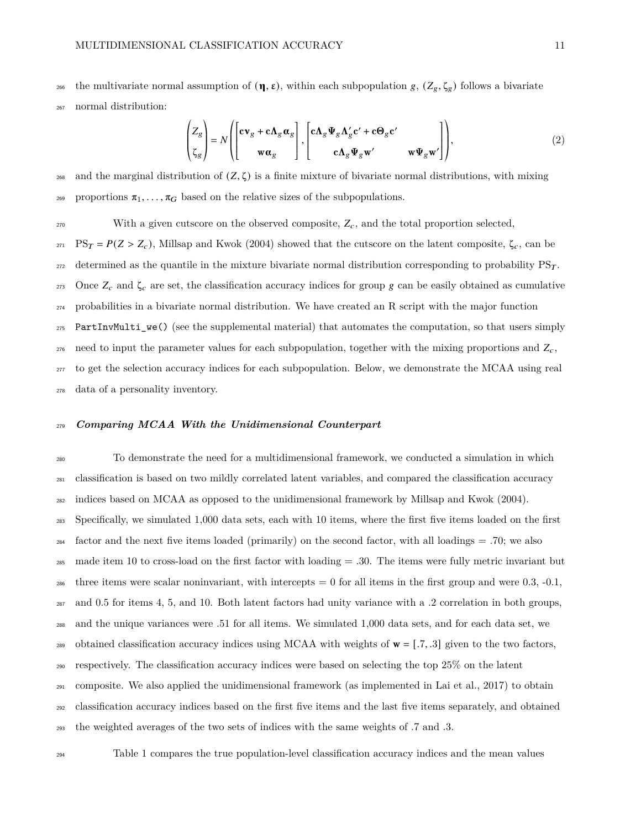266 the multivariate normal assumption of  $(\eta, \varepsilon)$ , within each subpopulation g,  $(Z_g, \zeta_g)$  follows a bivariate <sup>267</sup> normal distribution:

$$
\begin{pmatrix} Z_g \\ \zeta_g \end{pmatrix} = N \left( \begin{bmatrix} c\mathbf{v}_g + c\mathbf{\Lambda}_g \mathbf{\alpha}_g \\ \mathbf{w} \mathbf{\alpha}_g \end{bmatrix}, \begin{bmatrix} c\mathbf{\Lambda}_g \boldsymbol{\Psi}_g \mathbf{\Lambda}_g' c' + c\mathbf{\Theta}_g c' \\ c\mathbf{\Lambda}_g \boldsymbol{\Psi}_g \mathbf{w'} \end{bmatrix} \right),
$$
(2)

268 and the marginal distribution of  $(Z, \zeta)$  is a finite mixture of bivariate normal distributions, with mixing <sup>269</sup> proportions  $\pi_1, \ldots, \pi_G$  based on the relative sizes of the subpopulations.

 $270$  With a given cutscore on the observed composite,  $Z_c$ , and the total proportion selected, <sup>271</sup> PS<sub>T</sub> =  $P(Z > Z_c)$ , Millsap and Kwok [\(2004\)](#page-19-0) showed that the cutscore on the latent composite,  $\zeta_c$ , can be 272 determined as the quantile in the mixture bivariate normal distribution corresponding to probability  $PS_T$ . 273 Once  $Z_c$  and  $\zeta_c$  are set, the classification accuracy indices for group g can be easily obtained as cumulative <sup>274</sup> probabilities in a bivariate normal distribution. We have created an R script with the major function <sup>275</sup> PartInvMulti\_we() (see the supplemental material) that automates the computation, so that users simply 276 need to input the parameter values for each subpopulation, together with the mixing proportions and  $Z_c$ , <sub>277</sub> to get the selection accuracy indices for each subpopulation. Below, we demonstrate the MCAA using real <sup>278</sup> data of a personality inventory.

#### <sup>279</sup> *Comparing MCAA With the Unidimensional Counterpart*

 To demonstrate the need for a multidimensional framework, we conducted a simulation in which classification is based on two mildly correlated latent variables, and compared the classification accuracy indices based on MCAA as opposed to the unidimensional framework by Millsap and Kwok [\(2004\)](#page-19-0). Specifically, we simulated 1,000 data sets, each with 10 items, where the first five items loaded on the first factor and the next five items loaded (primarily) on the second factor, with all loadings = .70; we also 285 made item 10 to cross-load on the first factor with loading  $= .30$ . The items were fully metric invariant but 286 three items were scalar noninvariant, with intercepts  $= 0$  for all items in the first group and were 0.3, -0.1, and 0.5 for items 4, 5, and 10. Both latent factors had unity variance with a .2 correlation in both groups, and the unique variances were .51 for all items. We simulated 1,000 data sets, and for each data set, we 289 obtained classification accuracy indices using MCAA with weights of  $\mathbf{w} = [0.7, 0.3]$  given to the two factors, respectively. The classification accuracy indices were based on selecting the top 25% on the latent composite. We also applied the unidimensional framework (as implemented in Lai et al., [2017\)](#page-18-2) to obtain classification accuracy indices based on the first five items and the last five items separately, and obtained the weighted averages of the two sets of indices with the same weights of .7 and .3.

<sup>294</sup> Table [1](#page-21-0) compares the true population-level classification accuracy indices and the mean values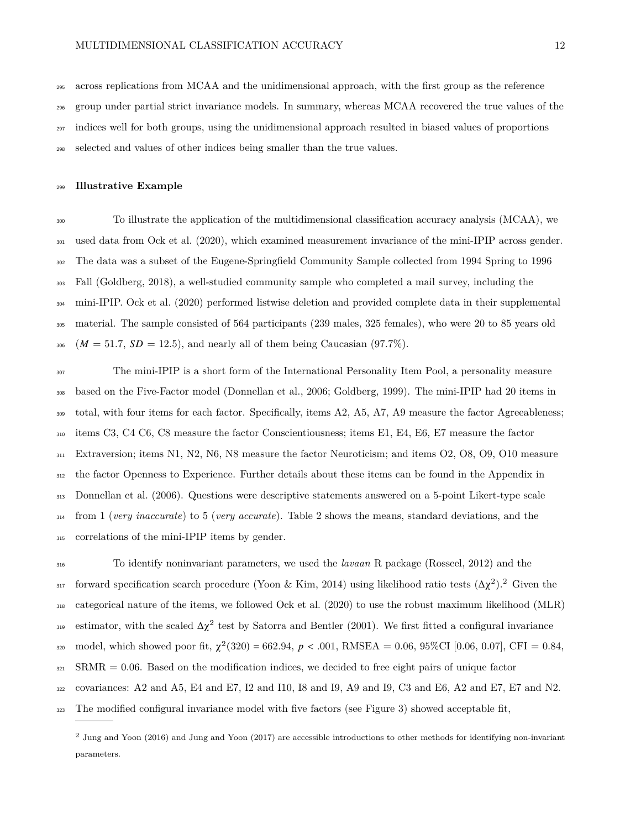across replications from MCAA and the unidimensional approach, with the first group as the reference group under partial strict invariance models. In summary, whereas MCAA recovered the true values of the indices well for both groups, using the unidimensional approach resulted in biased values of proportions selected and values of other indices being smaller than the true values.

#### **Illustrative Example**

 To illustrate the application of the multidimensional classification accuracy analysis (MCAA), we used data from Ock et al. [\(2020\)](#page-19-9), which examined measurement invariance of the mini-IPIP across gender. The data was a subset of the Eugene-Springfield Community Sample collected from 1994 Spring to 1996 Fall (Goldberg, [2018\)](#page-17-8), a well-studied community sample who completed a mail survey, including the mini-IPIP. Ock et al. [\(2020\)](#page-19-9) performed listwise deletion and provided complete data in their supplemental material. The sample consisted of 564 participants (239 males, 325 females), who were 20 to 85 years old  $306 \left(M = 51.7, SD = 12.5\right)$ , and nearly all of them being Caucasian (97.7%).

 The mini-IPIP is a short form of the International Personality Item Pool, a personality measure based on the Five-Factor model (Donnellan et al., [2006;](#page-17-7) Goldberg, [1999\)](#page-17-9). The mini-IPIP had 20 items in total, with four items for each factor. Specifically, items A2, A5, A7, A9 measure the factor Agreeableness; items C3, C4 C6, C8 measure the factor Conscientiousness; items E1, E4, E6, E7 measure the factor Extraversion; items N1, N2, N6, N8 measure the factor Neuroticism; and items O2, O8, O9, O10 measure the factor Openness to Experience. Further details about these items can be found in the Appendix in Donnellan et al. [\(2006\)](#page-17-7). Questions were descriptive statements answered on a 5-point Likert-type scale from 1 (*very inaccurate*) to 5 (*very accurate*). Table [2](#page-22-0) shows the means, standard deviations, and the correlations of the mini-IPIP items by gender.

 To identify noninvariant parameters, we used the *lavaan* R package (Rosseel, [2012\)](#page-19-10) and the <sup>317</sup> forward specification search procedure (Yoon & Kim, [2014\)](#page-20-3) using likelihood ratio tests  $(\Delta \chi^2)^2$  $(\Delta \chi^2)^2$  $(\Delta \chi^2)^2$ . Given the categorical nature of the items, we followed Ock et al. [\(2020\)](#page-19-9) to use the robust maximum likelihood (MLR) 319 estimator, with the scaled  $\Delta \chi^2$  test by Satorra and Bentler [\(2001\)](#page-19-11). We first fitted a configural invariance 320 model, which showed poor fit,  $\chi^2(320) = 662.94$ ,  $p < .001$ , RMSEA = 0.06, 95%CI [0.06, 0.07], CFI = 0.84, SRMR = 0.06. Based on the modification indices, we decided to free eight pairs of unique factor covariances: A2 and A5, E4 and E7, I2 and I10, I8 and I9, A9 and I9, C3 and E6, A2 and E7, E7 and N2.

The modified configural invariance model with five factors (see Figure [3\)](#page-27-0) showed acceptable fit,

<span id="page-11-0"></span> Jung and Yoon [\(2016\)](#page-18-10) and Jung and Yoon [\(2017\)](#page-18-11) are accessible introductions to other methods for identifying non-invariant parameters.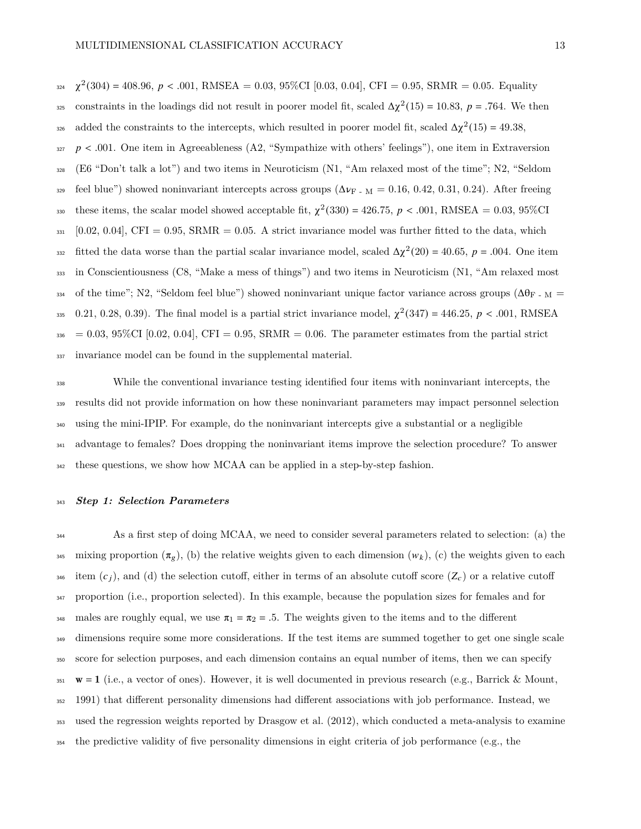$\chi^2(304) = 408.96, p < .001, RMSEA = 0.03, 95\% \text{CI} [0.03, 0.04], CFI = 0.95, SRMR = 0.05. Equality$ constraints in the loadings did not result in poorer model fit, scaled  $\Delta \chi^2(15) = 10.83$ ,  $p = .764$ . We then added the constraints to the intercepts, which resulted in poorer model fit, scaled  $\Delta \chi^2(15) = 49.38$ ,  $327$   $p < .001$ . One item in Agreeableness (A2, "Sympathize with others' feelings"), one item in Extraversion <sup>328</sup> (E6 "Don't talk a lot") and two items in Neuroticism (N1, "Am relaxed most of the time"; N2, "Seldom  $329$  feel blue") showed noninvariant intercepts across groups ( $\Delta \nu_{\rm F}$  - M = 0.16, 0.42, 0.31, 0.24). After freeing these items, the scalar model showed acceptable fit,  $\chi^2(330) = 426.75$ ,  $p < .001$ , RMSEA = 0.03, 95%CI  $331$  [0.02, 0.04], CFI = 0.95, SRMR = 0.05. A strict invariance model was further fitted to the data, which 332 fitted the data worse than the partial scalar invariance model, scaled  $\Delta \chi^2(20) = 40.65$ ,  $p = .004$ . One item <sup>333</sup> in Conscientiousness (C8, "Make a mess of things") and two items in Neuroticism (N1, "Am relaxed most 334 of the time"; N2, "Seldom feel blue") showed noninvariant unique factor variance across groups ( $\Delta\theta_{\rm F}$  - M = 335 0.21, 0.28, 0.39). The final model is a partial strict invariance model,  $\chi^2(347) = 446.25$ ,  $p < .001$ , RMSEA  $336 = 0.03, 95\%$ CI [0.02, 0.04], CFI = 0.95, SRMR = 0.06. The parameter estimates from the partial strict <sup>337</sup> invariance model can be found in the supplemental material.

 While the conventional invariance testing identified four items with noninvariant intercepts, the results did not provide information on how these noninvariant parameters may impact personnel selection using the mini-IPIP. For example, do the noninvariant intercepts give a substantial or a negligible advantage to females? Does dropping the noninvariant items improve the selection procedure? To answer these questions, we show how MCAA can be applied in a step-by-step fashion.

#### <sup>343</sup> *Step 1: Selection Parameters*

 As a first step of doing MCAA, we need to consider several parameters related to selection: (a) the mixing proportion  $(\pi_g)$ , (b) the relative weights given to each dimension  $(w_k)$ , (c) the weights given to each <sup>346</sup> item  $(c_i)$ , and (d) the selection cutoff, either in terms of an absolute cutoff score  $(Z_c)$  or a relative cutoff proportion (i.e., proportion selected). In this example, because the population sizes for females and for 348 males are roughly equal, we use  $\pi_1 = \pi_2 = .5$ . The weights given to the items and to the different dimensions require some more considerations. If the test items are summed together to get one single scale score for selection purposes, and each dimension contains an equal number of items, then we can specify  $\mathbf{w} = 1$  (i.e., a vector of ones). However, it is well documented in previous research (e.g., Barrick & Mount, [1991\)](#page-17-1) that different personality dimensions had different associations with job performance. Instead, we used the regression weights reported by Drasgow et al. [\(2012\)](#page-17-10), which conducted a meta-analysis to examine the predictive validity of five personality dimensions in eight criteria of job performance (e.g., the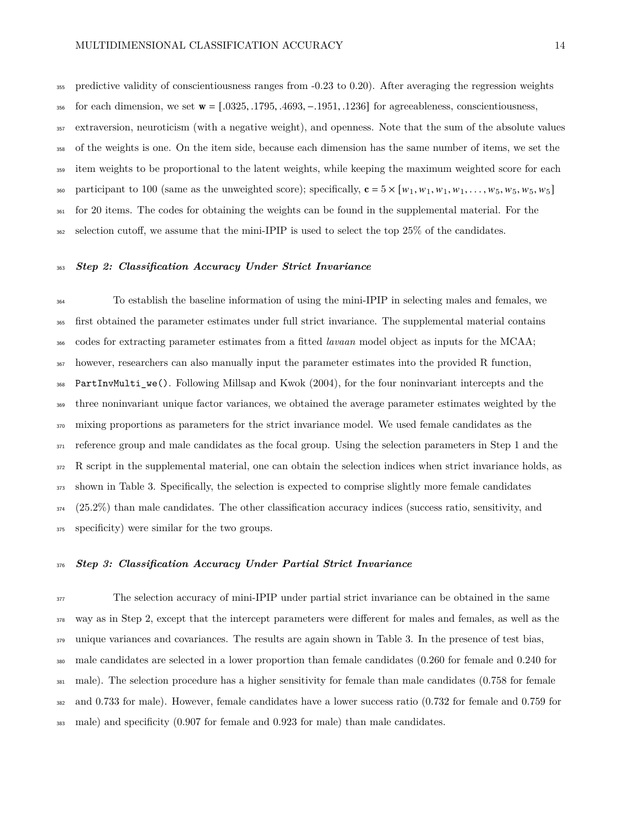predictive validity of conscientiousness ranges from -0.23 to 0.20). After averaging the regression weights <sup>356</sup> for each dimension, we set  $\mathbf{w} = [.0325, .1795, .4693, -.1951, .1236]$  for agreeableness, conscientiousness, extraversion, neuroticism (with a negative weight), and openness. Note that the sum of the absolute values of the weights is one. On the item side, because each dimension has the same number of items, we set the <sup>359</sup> item weights to be proportional to the latent weights, while keeping the maximum weighted score for each 360 participant to 100 (same as the unweighted score); specifically,  $\mathbf{c} = 5 \times [w_1, w_1, w_1, w_1, \ldots, w_5, w_5, w_5, w_5]$ <sup>361</sup> for 20 items. The codes for obtaining the weights can be found in the supplemental material. For the selection cutoff, we assume that the mini-IPIP is used to select the top 25% of the candidates.

#### *Step 2: Classification Accuracy Under Strict Invariance*

 To establish the baseline information of using the mini-IPIP in selecting males and females, we first obtained the parameter estimates under full strict invariance. The supplemental material contains codes for extracting parameter estimates from a fitted *lavaan* model object as inputs for the MCAA; however, researchers can also manually input the parameter estimates into the provided R function, PartInvMulti\_we(). Following Millsap and Kwok [\(2004\)](#page-19-0), for the four noninvariant intercepts and the three noninvariant unique factor variances, we obtained the average parameter estimates weighted by the mixing proportions as parameters for the strict invariance model. We used female candidates as the reference group and male candidates as the focal group. Using the selection parameters in Step 1 and the 372 R script in the supplemental material, one can obtain the selection indices when strict invariance holds, as shown in Table [3.](#page-23-0) Specifically, the selection is expected to comprise slightly more female candidates (25.2%) than male candidates. The other classification accuracy indices (success ratio, sensitivity, and specificity) were similar for the two groups.

#### *Step 3: Classification Accuracy Under Partial Strict Invariance*

 The selection accuracy of mini-IPIP under partial strict invariance can be obtained in the same way as in Step 2, except that the intercept parameters were different for males and females, as well as the unique variances and covariances. The results are again shown in Table [3.](#page-23-0) In the presence of test bias, male candidates are selected in a lower proportion than female candidates (0.260 for female and 0.240 for male). The selection procedure has a higher sensitivity for female than male candidates (0.758 for female and 0.733 for male). However, female candidates have a lower success ratio (0.732 for female and 0.759 for male) and specificity (0.907 for female and 0.923 for male) than male candidates.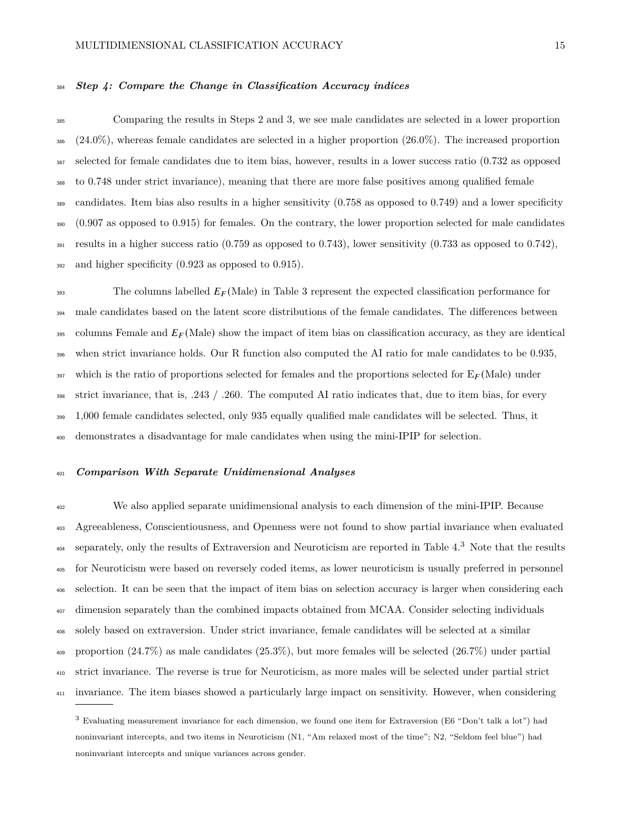## *Step 4: Compare the Change in Classification Accuracy indices*

 Comparing the results in Steps 2 and 3, we see male candidates are selected in a lower proportion  $386 \left(24.0\% \right)$ , whereas female candidates are selected in a higher proportion  $(26.0\%)$ . The increased proportion selected for female candidates due to item bias, however, results in a lower success ratio (0.732 as opposed to 0.748 under strict invariance), meaning that there are more false positives among qualified female candidates. Item bias also results in a higher sensitivity (0.758 as opposed to 0.749) and a lower specificity (0.907 as opposed to 0.915) for females. On the contrary, the lower proportion selected for male candidates <sup>391</sup> results in a higher success ratio (0.759 as opposed to 0.743), lower sensitivity (0.733 as opposed to 0.742), and higher specificity (0.923 as opposed to 0.915).

 The columns labelled  $E_F$ (Male) in Table [3](#page-23-0) represent the expected classification performance for male candidates based on the latent score distributions of the female candidates. The differences between columns Female and  $E_F$ (Male) show the impact of item bias on classification accuracy, as they are identical when strict invariance holds. Our R function also computed the AI ratio for male candidates to be 0.935, 397 which is the ratio of proportions selected for females and the proportions selected for  $E_F(Male)$  under strict invariance, that is, .243 / .260. The computed AI ratio indicates that, due to item bias, for every 1,000 female candidates selected, only 935 equally qualified male candidates will be selected. Thus, it demonstrates a disadvantage for male candidates when using the mini-IPIP for selection.

## *Comparison With Separate Unidimensional Analyses*

 We also applied separate unidimensional analysis to each dimension of the mini-IPIP. Because Agreeableness, Conscientiousness, and Openness were not found to show partial invariance when evaluated separately, only the results of Extraversion and Neuroticism are reported in Table [4.](#page-24-0)<sup>[3](#page-14-0)</sup> Note that the results for Neuroticism were based on reversely coded items, as lower neuroticism is usually preferred in personnel selection. It can be seen that the impact of item bias on selection accuracy is larger when considering each dimension separately than the combined impacts obtained from MCAA. Consider selecting individuals solely based on extraversion. Under strict invariance, female candidates will be selected at a similar proportion (24.7%) as male candidates (25.3%), but more females will be selected (26.7%) under partial strict invariance. The reverse is true for Neuroticism, as more males will be selected under partial strict invariance. The item biases showed a particularly large impact on sensitivity. However, when considering

<span id="page-14-0"></span> Evaluating measurement invariance for each dimension, we found one item for Extraversion (E6 "Don't talk a lot") had noninvariant intercepts, and two items in Neuroticism (N1, "Am relaxed most of the time"; N2, "Seldom feel blue") had noninvariant intercepts and unique variances across gender.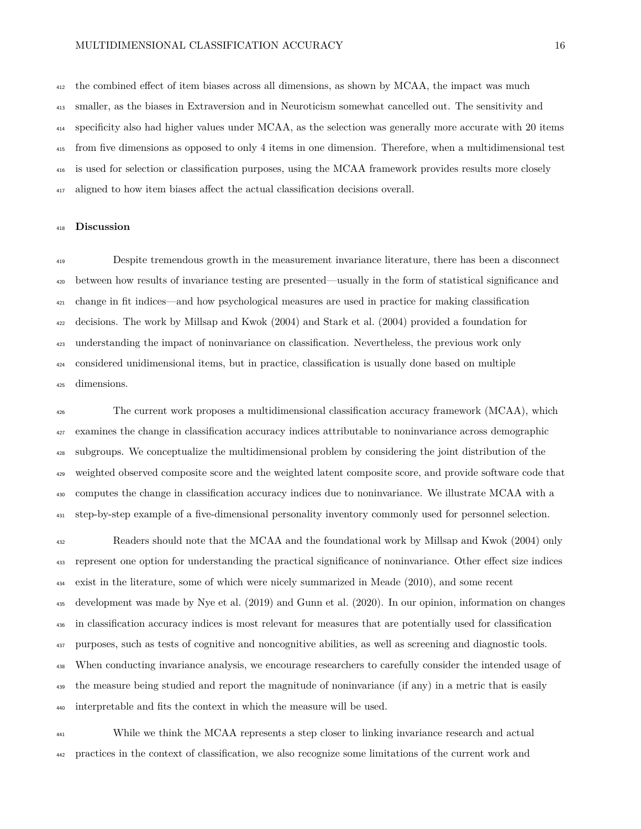the combined effect of item biases across all dimensions, as shown by MCAA, the impact was much smaller, as the biases in Extraversion and in Neuroticism somewhat cancelled out. The sensitivity and specificity also had higher values under MCAA, as the selection was generally more accurate with 20 items from five dimensions as opposed to only 4 items in one dimension. Therefore, when a multidimensional test is used for selection or classification purposes, using the MCAA framework provides results more closely aligned to how item biases affect the actual classification decisions overall.

#### **Discussion**

 Despite tremendous growth in the measurement invariance literature, there has been a disconnect between how results of invariance testing are presented—usually in the form of statistical significance and change in fit indices—and how psychological measures are used in practice for making classification decisions. The work by Millsap and Kwok [\(2004\)](#page-19-0) and Stark et al. [\(2004\)](#page-19-1) provided a foundation for understanding the impact of noninvariance on classification. Nevertheless, the previous work only considered unidimensional items, but in practice, classification is usually done based on multiple dimensions.

 The current work proposes a multidimensional classification accuracy framework (MCAA), which examines the change in classification accuracy indices attributable to noninvariance across demographic subgroups. We conceptualize the multidimensional problem by considering the joint distribution of the weighted observed composite score and the weighted latent composite score, and provide software code that computes the change in classification accuracy indices due to noninvariance. We illustrate MCAA with a step-by-step example of a five-dimensional personality inventory commonly used for personnel selection.

 Readers should note that the MCAA and the foundational work by Millsap and Kwok [\(2004\)](#page-19-0) only represent one option for understanding the practical significance of noninvariance. Other effect size indices exist in the literature, some of which were nicely summarized in Meade [\(2010\)](#page-18-12), and some recent development was made by Nye et al. [\(2019\)](#page-19-8) and Gunn et al. [\(2020\)](#page-18-9). In our opinion, information on changes in classification accuracy indices is most relevant for measures that are potentially used for classification purposes, such as tests of cognitive and noncognitive abilities, as well as screening and diagnostic tools. When conducting invariance analysis, we encourage researchers to carefully consider the intended usage of <sup>439</sup> the measure being studied and report the magnitude of noninvariance (if any) in a metric that is easily interpretable and fits the context in which the measure will be used.

 While we think the MCAA represents a step closer to linking invariance research and actual practices in the context of classification, we also recognize some limitations of the current work and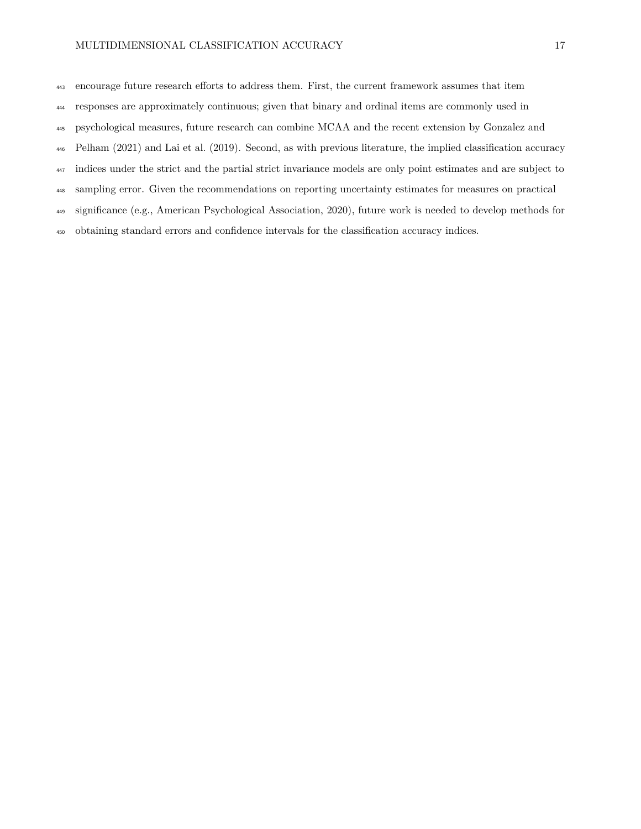- responses are approximately continuous; given that binary and ordinal items are commonly used in
- psychological measures, future research can combine MCAA and the recent extension by Gonzalez and
- Pelham [\(2021\)](#page-18-4) and Lai et al. [\(2019\)](#page-18-3). Second, as with previous literature, the implied classification accuracy
- indices under the strict and the partial strict invariance models are only point estimates and are subject to
- sampling error. Given the recommendations on reporting uncertainty estimates for measures on practical
- significance (e.g., American Psychological Association, [2020\)](#page-17-11), future work is needed to develop methods for
- obtaining standard errors and confidence intervals for the classification accuracy indices.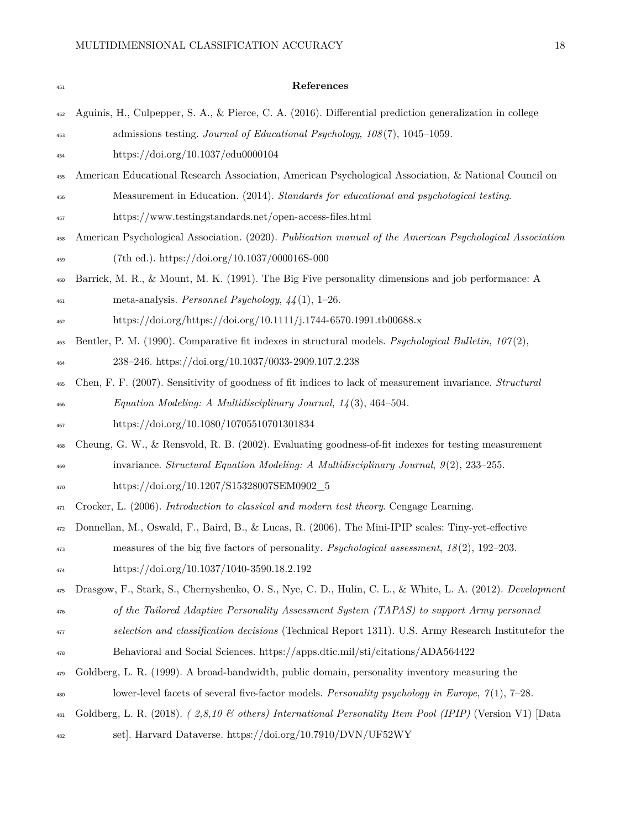<span id="page-17-11"></span><span id="page-17-10"></span><span id="page-17-9"></span><span id="page-17-8"></span><span id="page-17-7"></span><span id="page-17-6"></span><span id="page-17-5"></span><span id="page-17-4"></span><span id="page-17-3"></span><span id="page-17-2"></span><span id="page-17-1"></span><span id="page-17-0"></span>

| 451 | References                                                                                                      |
|-----|-----------------------------------------------------------------------------------------------------------------|
| 452 | Aguinis, H., Culpepper, S. A., & Pierce, C. A. (2016). Differential prediction generalization in college        |
| 453 | admissions testing. Journal of Educational Psychology, $108(7)$ , $1045-1059$ .                                 |
| 454 | https://doi.org/10.1037/edu0000104                                                                              |
| 455 | American Educational Research Association, American Psychological Association, & National Council on            |
| 456 | Measurement in Education. (2014). Standards for educational and psychological testing.                          |
| 457 | https://www.testingstandards.net/open-access-files.html                                                         |
| 458 | American Psychological Association. (2020). Publication manual of the American Psychological Association        |
| 459 | (7th ed.). https://doi.org/10.1037/000016S-000                                                                  |
| 460 | Barrick, M. R., & Mount, M. K. (1991). The Big Five personality dimensions and job performance: A               |
| 461 | meta-analysis. Personnel Psychology, $44(1)$ , 1–26.                                                            |
| 462 | https://doi.org/https://doi.org/10.1111/j.1744-6570.1991.tb00688.x                                              |
| 463 | Bentler, P. M. (1990). Comparative fit indexes in structural models. Psychological Bulletin, $107(2)$ ,         |
| 464 | 238-246. https://doi.org/10.1037/0033-2909.107.2.238                                                            |
| 465 | Chen, F. F. (2007). Sensitivity of goodness of fit indices to lack of measurement invariance. <i>Structural</i> |
| 466 | Equation Modeling: A Multidisciplinary Journal, $14(3)$ , 464-504.                                              |
| 467 | https://doi.org/10.1080/10705510701301834                                                                       |
| 468 | Cheung, G. W., & Rensvold, R. B. (2002). Evaluating goodness-of-fit indexes for testing measurement             |
| 469 | invariance. Structural Equation Modeling: A Multidisciplinary Journal, $9(2)$ , 233-255.                        |
| 470 | https://doi.org/10.1207/S15328007SEM0902_5                                                                      |
| 471 | Crocker, L. (2006). Introduction to classical and modern test theory. Cengage Learning.                         |
| 472 | Donnellan, M., Oswald, F., Baird, B., & Lucas, R. (2006). The Mini-IPIP scales: Tiny-yet-effective              |
| 473 | measures of the big five factors of personality. Psychological assessment, $18(2)$ , 192-203.                   |
| 474 | https://doi.org/10.1037/1040-3590.18.2.192                                                                      |
| 475 | Drasgow, F., Stark, S., Chernyshenko, O. S., Nye, C. D., Hulin, C. L., & White, L. A. (2012). Development       |
| 476 | of the Tailored Adaptive Personality Assessment System (TAPAS) to support Army personnel                        |
| 477 | selection and classification decisions (Technical Report 1311). U.S. Army Research Institutefor the             |
| 478 | Behavioral and Social Sciences. https://apps.dtic.mil/sti/citations/ADA564422                                   |
| 479 | Goldberg, L. R. (1999). A broad-bandwidth, public domain, personality inventory measuring the                   |
| 480 | lower-level facets of several five-factor models. Personality psychology in Europe, $\gamma(1)$ , 7–28.         |
| 481 | Goldberg, L. R. (2018). (2,8,10 & others) International Personality Item Pool (IPIP) (Version V1) [Data         |
| 482 | set]. Harvard Dataverse. https://doi.org/10.7910/DVN/UF52WY                                                     |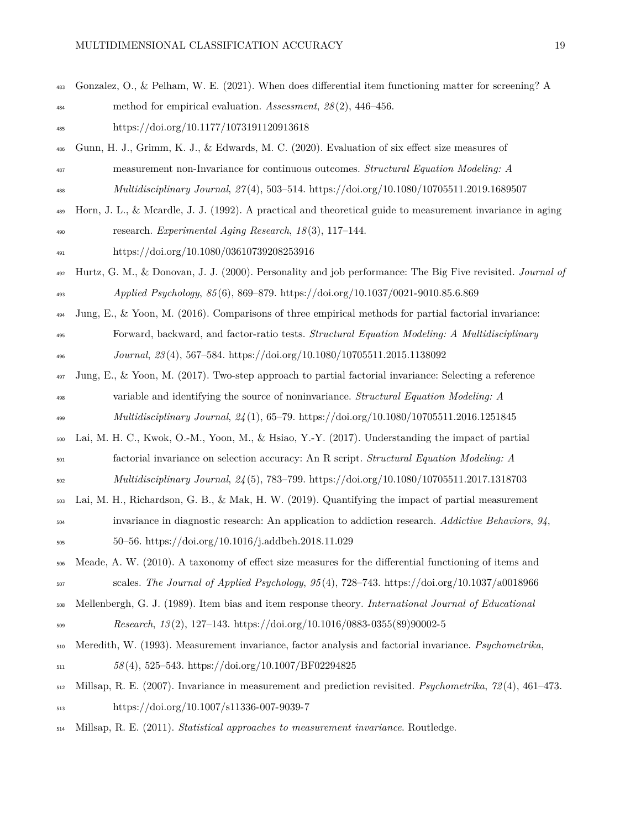<span id="page-18-11"></span><span id="page-18-10"></span><span id="page-18-9"></span><span id="page-18-8"></span><span id="page-18-5"></span><span id="page-18-4"></span>

| 483 | Gonzalez, O., & Pelham, W. E. (2021). When does differential item functioning matter for screening? A      |
|-----|------------------------------------------------------------------------------------------------------------|
| 484 | method for empirical evaluation. Assessment, $28(2)$ , 446-456.                                            |
| 485 | https://doi.org/10.1177/1073191120913618                                                                   |
| 486 | Gunn, H. J., Grimm, K. J., & Edwards, M. C. (2020). Evaluation of six effect size measures of              |
| 487 | measurement non-Invariance for continuous outcomes. Structural Equation Modeling: A                        |
| 488 | Multidisciplinary Journal, 27(4), 503-514. https://doi.org/10.1080/10705511.2019.1689507                   |
| 489 | Horn, J. L., & Meardle, J. J. (1992). A practical and theoretical guide to measurement invariance in aging |
| 490 | research. Experimental Aging Research, $18(3)$ , 117-144.                                                  |
| 491 | https://doi.org/10.1080/03610739208253916                                                                  |
| 492 | Hurtz, G. M., & Donovan, J. J. (2000). Personality and job performance: The Big Five revisited. Journal of |
| 493 | Applied Psychology, 85(6), 869-879. https://doi.org/10.1037/0021-9010.85.6.869                             |
| 494 | Jung, E., & Yoon, M. (2016). Comparisons of three empirical methods for partial factorial invariance:      |
| 495 | Forward, backward, and factor-ratio tests. Structural Equation Modeling: A Multidisciplinary               |
| 496 | Journal, 23(4), 567-584. https://doi.org/10.1080/10705511.2015.1138092                                     |
| 497 | Jung, E., & Yoon, M. (2017). Two-step approach to partial factorial invariance: Selecting a reference      |
| 498 | variable and identifying the source of noninvariance. Structural Equation Modeling: A                      |
| 499 | Multidisciplinary Journal, $24(1)$ , 65-79. https://doi.org/10.1080/10705511.2016.1251845                  |
| 500 | Lai, M. H. C., Kwok, O.-M., Yoon, M., & Hsiao, Y.-Y. (2017). Understanding the impact of partial           |
| 501 | factorial invariance on selection accuracy: An R script. Structural Equation Modeling: A                   |
| 502 | Multidisciplinary Journal, 24(5), 783-799. https://doi.org/10.1080/10705511.2017.1318703                   |
| 503 | Lai, M. H., Richardson, G. B., & Mak, H. W. (2019). Quantifying the impact of partial measurement          |
| 504 | invariance in diagnostic research: An application to addiction research. Addictive Behaviors, $94$ ,       |
| 505 | 50-56. https://doi.org/10.1016/j.addbeh.2018.11.029                                                        |
| 506 | Meade, A. W. (2010). A taxonomy of effect size measures for the differential functioning of items and      |
| 507 | scales. The Journal of Applied Psychology, $95(4)$ , $728-743$ . https://doi.org/10.1037/a0018966          |
| 508 | Mellenbergh, G. J. (1989). Item bias and item response theory. International Journal of Educational        |
| 509 | Research, $13(2)$ , 127-143. https://doi.org/10.1016/0883-0355(89)90002-5                                  |
| 510 | Meredith, W. (1993). Measurement invariance, factor analysis and factorial invariance. Psychometrika,      |
| 511 | $58(4)$ , 525-543. https://doi.org/10.1007/BF02294825                                                      |
| 512 | Millsap, R. E. (2007). Invariance in measurement and prediction revisited. Psychometrika, 72(4), 461-473.  |
| 513 | https://doi.org/10.1007/s11336-007-9039-7                                                                  |
|     |                                                                                                            |

<span id="page-18-12"></span><span id="page-18-7"></span><span id="page-18-6"></span><span id="page-18-3"></span><span id="page-18-2"></span><span id="page-18-1"></span><span id="page-18-0"></span>Millsap, R. E. (2011). *Statistical approaches to measurement invariance*. Routledge.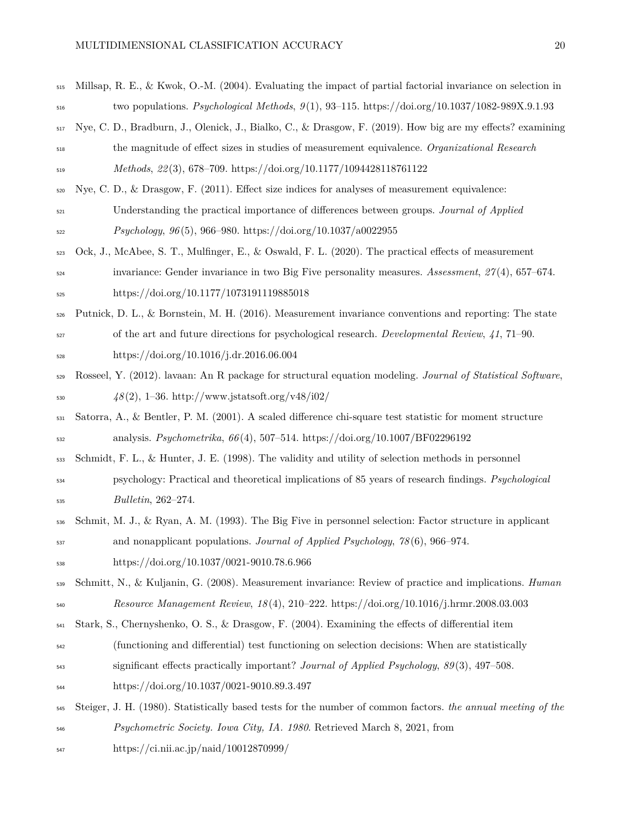<span id="page-19-11"></span><span id="page-19-10"></span><span id="page-19-9"></span><span id="page-19-8"></span><span id="page-19-7"></span><span id="page-19-2"></span><span id="page-19-0"></span>

| 515 | Millsap, R. E., & Kwok, O.-M. (2004). Evaluating the impact of partial factorial invariance on selection in   |
|-----|---------------------------------------------------------------------------------------------------------------|
| 516 | two populations. Psychological Methods, $9(1)$ , 93-115. https://doi.org/10.1037/1082-989X.9.1.93             |
| 517 | Nye, C. D., Bradburn, J., Olenick, J., Bialko, C., & Drasgow, F. (2019). How big are my effects? examining    |
| 518 | the magnitude of effect sizes in studies of measurement equivalence. Organizational Research                  |
| 519 | Methods, $22(3)$ , 678-709. https://doi.org/10.1177/1094428118761122                                          |
| 520 | Nye, C. D., & Drasgow, F. $(2011)$ . Effect size indices for analyses of measurement equivalence:             |
| 521 | Understanding the practical importance of differences between groups. Journal of Applied                      |
| 522 | <i>Psychology</i> , $96(5)$ , $966-980$ . https://doi.org/10.1037/a0022955                                    |
| 523 | Ock, J., McAbee, S. T., Mulfinger, E., & Oswald, F. L. (2020). The practical effects of measurement           |
| 524 | invariance: Gender invariance in two Big Five personality measures. Assessment, $27(4)$ , 657–674.            |
| 525 | https://doi.org/10.1177/1073191119885018                                                                      |
| 526 | Putnick, D. L., & Bornstein, M. H. (2016). Measurement invariance conventions and reporting: The state        |
| 527 | of the art and future directions for psychological research. Developmental Review, $41$ , 71–90.              |
| 528 | https://doi.org/10.1016/j.dr.2016.06.004                                                                      |
| 529 | Rosseel, Y. (2012). lavaan: An R package for structural equation modeling. Journal of Statistical Software,   |
| 530 | $48(2)$ , 1-36. http://www.jstatsoft.org/v48/i02/                                                             |
| 531 | Satorra, A., & Bentler, P. M. (2001). A scaled difference chi-square test statistic for moment structure      |
| 532 | analysis. <i>Psychometrika</i> , $66(4)$ , 507-514. https://doi.org/10.1007/BF02296192                        |
| 533 | Schmidt, F. L., & Hunter, J. E. (1998). The validity and utility of selection methods in personnel            |
| 534 | psychology: Practical and theoretical implications of 85 years of research findings. <i>Psychological</i>     |
| 535 | <i>Bulletin</i> , 262-274.                                                                                    |
| 536 | Schmit, M. J., & Ryan, A. M. (1993). The Big Five in personnel selection: Factor structure in applicant       |
| 537 | and nonapplicant populations. Journal of Applied Psychology, $78(6)$ , $966-974$ .                            |
| 538 | https://doi.org/10.1037/0021-9010.78.6.966                                                                    |
| 539 | Schmitt, N., & Kuljanin, G. (2008). Measurement invariance: Review of practice and implications. <i>Human</i> |
| 540 | <i>Resource Management Review, 18(4), 210-222. https://doi.org/10.1016/j.hrmr.2008.03.003</i>                 |
| 541 | Stark, S., Chernyshenko, O. S., & Drasgow, F. (2004). Examining the effects of differential item              |
| 542 | (functioning and differential) test functioning on selection decisions: When are statistically                |
| 543 | significant effects practically important? Journal of Applied Psychology, 89(3), 497-508.                     |
| 544 | https://doi.org/10.1037/0021-9010.89.3.497                                                                    |
| 545 | Steiger, J. H. (1980). Statistically based tests for the number of common factors. the annual meeting of the  |
| 546 | <i>Psychometric Society. Iowa City, IA. 1980.</i> Retrieved March 8, 2021, from                               |
|     |                                                                                                               |

<span id="page-19-6"></span><span id="page-19-5"></span><span id="page-19-4"></span><span id="page-19-3"></span><span id="page-19-1"></span><https://ci.nii.ac.jp/naid/10012870999/>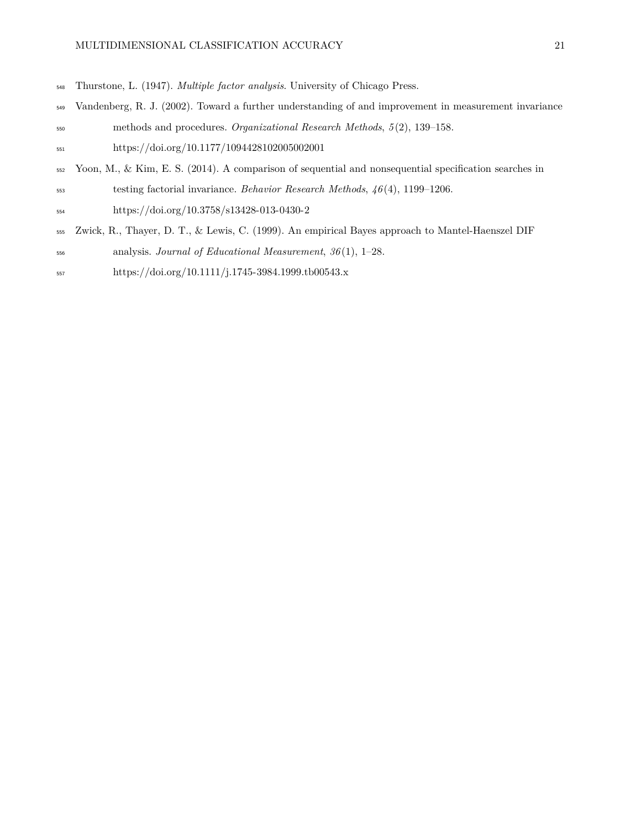- <span id="page-20-2"></span>Thurstone, L. (1947). *Multiple factor analysis*. University of Chicago Press.
- <span id="page-20-0"></span> Vandenberg, R. J. (2002). Toward a further understanding of and improvement in measurement invariance methods and procedures. *Organizational Research Methods*, *5* (2), 139–158.
- <https://doi.org/10.1177/1094428102005002001>
- <span id="page-20-3"></span>Yoon, M., & Kim, E. S. (2014). A comparison of sequential and nonsequential specification searches in
- testing factorial invariance. *Behavior Research Methods*, *46* (4), 1199–1206.
- <https://doi.org/10.3758/s13428-013-0430-2>
- <span id="page-20-1"></span>Zwick, R., Thayer, D. T., & Lewis, C. (1999). An empirical Bayes approach to Mantel-Haenszel DIF
- analysis. *Journal of Educational Measurement*, *36* (1), 1–28.
- <https://doi.org/10.1111/j.1745-3984.1999.tb00543.x>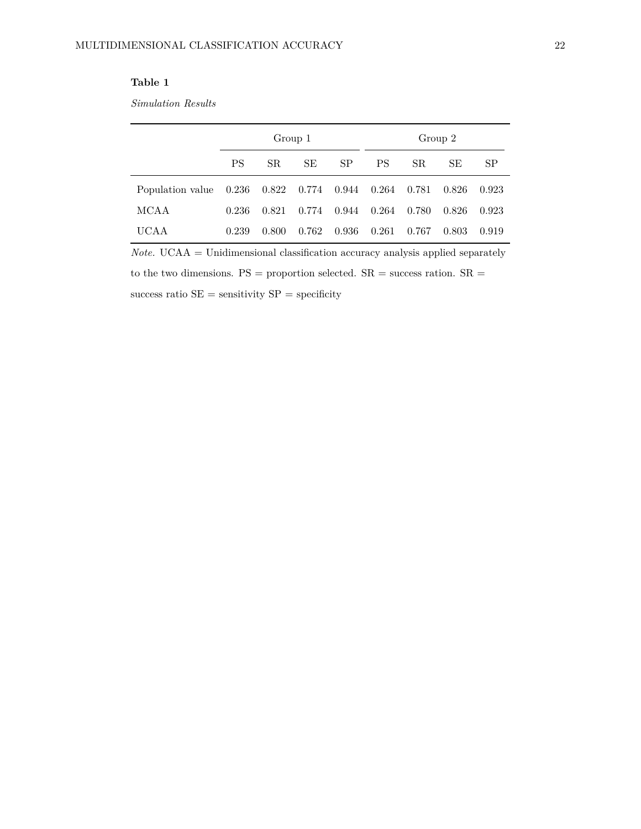## <span id="page-21-0"></span>**Table 1**

*Simulation Results*

|                        |           |               | Group 1 |           |           |       | Group 2 |       |
|------------------------|-----------|---------------|---------|-----------|-----------|-------|---------|-------|
|                        | <b>PS</b> | SR.           | SE      | <b>SP</b> | <b>PS</b> | SR.   | SE.     | SP    |
| Population value 0.236 |           | $0.822$ 0.774 |         | 0.944     | 0.264     | 0.781 | 0.826   | 0.923 |
| MCAA                   | 0.236     | 0.821         | 0.774   | 0.944     | 0.264     | 0.780 | 0.826   | 0.923 |
| UCA A                  | 0.239     | 0.800         | 0.762   | 0.936     | 0.261     | 0.767 | 0.803   | 0.919 |

 $Note. UCAA = Unidimensional classification accuracy analysis applied separately$ to the two dimensions.  $PS =$  proportion selected.  $SR =$  success ration.  $SR =$ success ratio  $SE =$  sensitivity  $SP =$  specificity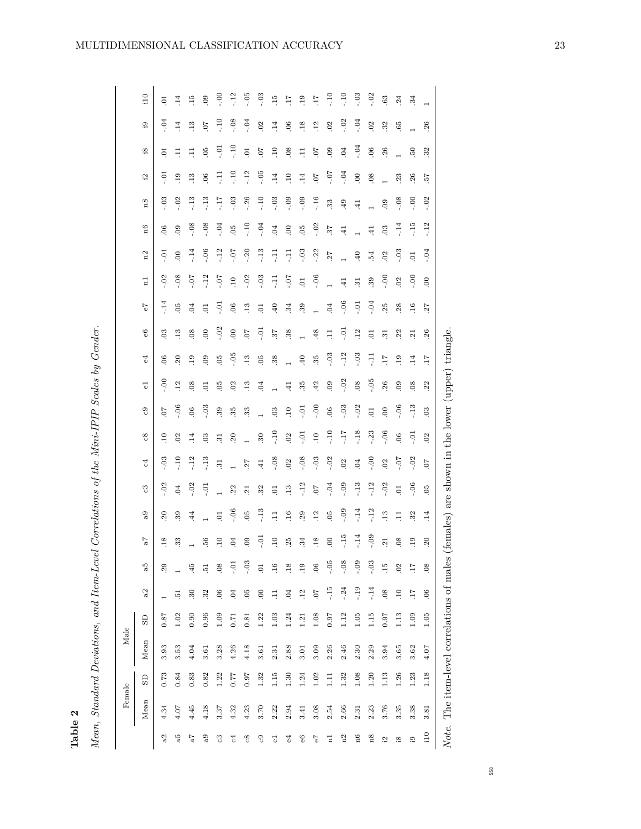<span id="page-22-0"></span>

| $\frac{1}{2}$ |         |
|---------------|---------|
|               |         |
|               |         |
|               | i       |
|               |         |
|               |         |
|               |         |
|               | I       |
|               |         |
|               |         |
|               |         |
| í             |         |
|               |         |
|               |         |
|               |         |
|               |         |
|               |         |
|               | ï       |
|               |         |
|               |         |
|               |         |
|               |         |
|               |         |
|               |         |
|               |         |
|               |         |
|               |         |
|               |         |
|               |         |
|               |         |
|               |         |
|               |         |
|               |         |
|               |         |
|               |         |
|               |         |
|               |         |
|               |         |
|               |         |
|               |         |
|               |         |
|               |         |
|               |         |
|               |         |
|               |         |
|               |         |
|               |         |
|               |         |
|               |         |
|               |         |
|               |         |
|               | י<br>נו |
|               | ׇ֚֘֝֬   |
|               |         |
|               |         |
|               |         |
|               | č       |
|               |         |
|               | l       |
|               |         |
|               | ٦       |
|               |         |
|               |         |
|               |         |
|               |         |
|               |         |
|               |         |
|               |         |
|               |         |
|               |         |
|               |         |
|               |         |
|               |         |
|               |         |
|               |         |
|               |         |
|               |         |
|               |         |
|               |         |
|               |         |
| I             |         |
|               | ׅ֘      |
|               |         |
|               |         |
|               |         |
|               |         |
|               |         |
|               |         |
|               |         |
|               |         |
|               | Ş       |
|               | j<br>֘֒ |
|               |         |
|               |         |
|               | į       |
|               |         |
|               |         |
|               |         |
|               |         |
|               |         |
|               | ean.    |

| Table 2              |                                            |                        |      |                |                 |                 |                 |                  |                                                 |                 |                 |                 |                 |                  |                           |                 |                 |                |                |                 |                 |                        |                 |                 |
|----------------------|--------------------------------------------|------------------------|------|----------------|-----------------|-----------------|-----------------|------------------|-------------------------------------------------|-----------------|-----------------|-----------------|-----------------|------------------|---------------------------|-----------------|-----------------|----------------|----------------|-----------------|-----------------|------------------------|-----------------|-----------------|
|                      | Mean, Standard Deviations, and Item-Level  |                        |      |                |                 |                 |                 |                  | Correlations of the Mini-IPIP Scales by Gender. |                 |                 |                 |                 |                  |                           |                 |                 |                |                |                 |                 |                        |                 |                 |
|                      | Female                                     |                        |      | Male           |                 |                 |                 |                  |                                                 |                 |                 |                 |                 |                  |                           |                 |                 |                |                |                 |                 |                        |                 |                 |
|                      | Mean                                       | $\overline{\text{SD}}$ | Mean | $\overline{S}$ | a2              | a5              | 7a              | a <sub>9</sub>   | ್ರಿ                                             | $_{c4}$         | $_{\rm c8}$     | ල               | $\vec{e}$       | $\mathcal{L}$    | $\mathbf{e}^{\mathbf{G}}$ | 79              | $\overline{a}$  | n2             | n6             | n8              | Ξ,              | $\mathop{1\mathrm{8}}$ | Ű.              | 10              |
| a2                   | 4.34                                       | 0.73                   | 3.93 | 0.87           |                 | 29              | .18             | $\mathcal{S}$    | $-0.02$                                         | $-0.3$          | $\overline{10}$ | 70.             | $-0.0$          | $\mathcal{S}$    | 03                        | $-14$           | $-0.2$          | $-0.1$         | 06             | $-0.03$         | $-0.1$          | $\overline{0}$         | $-0.4$          | $\overline{c}$  |
| а5                   | 4.07                                       | 0.84                   | 3.53 | 1.02           | $\frac{51}{ }$  |                 | 33              | 39               | $\overline{C}$                                  | $-10$           | 02              | $-0.06$         | $\overline{12}$ | $20$             | $\overline{13}$           | 0 <sup>5</sup>  | $-0.8$          | $\mathbf{S}$   | $\overline{6}$ | $-0.02$         | .19             | Ę                      | $\overline{14}$ | $\overline{14}$ |
| 7a                   | 4.45                                       | 0.83                   | 4.04 | 0.90           | $\ddot{30}$     | $-45$           |                 | 44               | $-0.02$                                         | $-12$           | $\frac{4}{1}$   | $\rm 06$        | .08             | .19              | 08                        | 0 <sub>4</sub>  | $-0.7$          | $-14$          | $-0.8$         | $-13$           | 13              | 름                      | 13              | $\frac{15}{1}$  |
| a <sub>0</sub>       | 4.18                                       | 0.82                   | 3.61 | 0.96           | 32              | $\ddot{5}$      | .56             |                  | $-0.1$                                          | $-13$           | 0 <sup>3</sup>  | $-03$           | $\Xi$           | 09               | 00                        | $\overline{0}$  | $-12$           | $-0.06$        | $-0.08$        | $-13$           | 06              | 0 <sup>5</sup>         | $\sqrt{0}$      | $_{09}$         |
| ್ರಿ                  | 3.37                                       | 1.22                   | 3.28 | 1.09           | 06              | .08             | $\overline{10}$ | $\overline{C}$   |                                                 | $\overline{31}$ | $\overline{31}$ | 39              | 05              | 0 <sup>5</sup>   | $-0.02$                   | $-0.1$          | -.07            | $-12$          | $-0.04$        | 71.7            | Ę               | $-0.1$                 | $-10$           | $-0.0$          |
| $\mathcal{C}^4$      | 4.32                                       | 77.0                   | 4.26 | 0.71           | 04              | $-0.1$          | 0 <sub>4</sub>  | $-0.06$          | 22                                              |                 | 20              | 35              | 02              | $-0.5$           | $\overline{0}$            | 06              | $\overline{10}$ | $-0.7$         | $\tilde{e}$    | $-0.03$         | $-10$           | $-10$                  | $-08$           | $-12$           |
| $_{\rm c8}$          | 4.23                                       | 0.97                   | 4.18 | 0.81           | 0 <sub>5</sub>  | $-0.3$          | 0.0             | $\tilde{e}$      | 21                                              | 27              |                 | 33              | $\overline{13}$ | $\overline{.13}$ | 50                        | $\overline{13}$ | $-02$           | $-20$          | $-10$          | $-26$           | $-12$           | $\overline{0}$         | $-0.4$          | $-0.5$          |
| $_{\rm c}$           | 3.70                                       | 1.32                   | 3.61 | 1.22           | 00              | $\overline{0}$  | $-0.1$          | $-13$            | 32                                              | $\frac{41}{5}$  | $30\,$          |                 | 04              | 0 <sup>5</sup>   | $-0.1$                    | $\overline{0}$  | $-03$           | $-13$          | $-0.4$         | $-10$           | $-0.5$          | 70                     | $\overline{0}$  | $-0.3$          |
| ರ                    | 2.22                                       | 1.15                   | 2.31 | 1.03           | Ę               | .16             | $\overline{10}$ | $\Xi$            | $\overline{0}$                                  | $-0.08$         | $-10$           | 0 <sup>3</sup>  |                 | 38               | 57                        | 40              | Ę               | Ę              | $\overline{0}$ | $-0.3$          | $\overline{14}$ | $\overline{10}$        | $\overline{14}$ | $\overline{15}$ |
| $_{\rm e4}$          | 2.94                                       | 1.30                   | 2.88 | 1.24           | 04              | .18             | 25              | $\overline{.16}$ | $\overline{13}$                                 | $02\,$          | 02              | $\overline{01}$ | $\overline{41}$ |                  | 38                        | 34              | $-0.7$          | Ę              | $\odot$        | $-0.09$         | .10             | $_{08}$                | $\overline{0}$  | TT.             |
| $_{66}$              | 3.41                                       | 1.24                   | 3.01 | 1.21           | .12             | .19             | 34              | 29               | $-12$                                           | $-08$           | $-0.1$          | $-0.1$          | 35              | 40               |                           | 39              | $\overline{0}$  | $-03$          | 0 <sup>5</sup> | $-0.09$         | $\overline{14}$ | $\Xi$                  | .18             | .19             |
| $5\degree$           | 3.08                                       | 1.02                   | 3.09 | 1.08           | 70.             | .06             | .18             | $\overline{12}$  | 50                                              | $-03$           | $\overline{10}$ | $-0.0$          | 42              | 35               | 48                        |                 | $-0.6$          | $-22$          | $-0.2$         | $-16$           | 70.             | 70.                    | $\overline{12}$ | $\overline{11}$ |
| $\overline{a}$       | 2.54                                       | $\Xi$                  | 2.26 | 76.0           | $-15$           | $-0.5$          | 00              | 95               | $-0.4$                                          | $-0.02$         | $-10$           | $\overline{0}$  | 09              | $-03$            | Ę                         | 04              |                 | 27             | 57             | 33              | $-0.7$          | $_{09}$                | $\mathcal{L}$   | $-10$           |
| n2                   | 2.66                                       | 1.32                   | 2.46 | 1.12           | $-24$           | $-0.8$          | $-15$           | $-0.09$          | $-0.09$                                         | 0 <sup>2</sup>  | $71 -$          | $-0.3$          | $-0.02$         | $-12$            | $-0.1$                    | $-0.06$         | $\overline{41}$ |                | $\frac{41}{3}$ | .49             | $-0.04$         | 04                     | $-0.02$         | $-10$           |
| n6                   | 2.31                                       | 1.08                   | 2.30 | 1.05           | $-19$           | $-0.9$          | $-14$           | $-14$            | $-13$                                           | 04              | $-18$           | $-0.02$         | $\overline{0}$  | $-0.3$           | 12                        | $-0.1$          | $\overline{31}$ | $-40$          |                | $\overline{41}$ | 00              | $-0.4$                 | $-0.4$          | $-0.3$          |
| n8                   | 2.23                                       | 1.20                   | 2.29 | 1.15           | $-14$           | $-0.3$          | $-0.9$          | $-12$            | $-12$                                           | $-0.0$          | $-23$           | $\Xi$           | $-05$           | $-11$            | $\Xi$                     | $-0.04$         | 39              | 54             | $\ddot{=}$     |                 | $_{08}$         | 06                     | $\mathcal{L}$   | $-0.2$          |
| $\tilde{\mathbf{z}}$ | 3.76                                       | 1.13                   | 3.94 | 0.97           | 08              | $\overline{15}$ | 21              | $\overline{.13}$ | $-0.02$                                         | 02              | $-0.06$         | $\rm ^{\rm o}$  | .26             | ГI.              | $\overline{31}$           | .25             | $-0.0$          | $\overline{0}$ | $\ddot{\circ}$ | 0.0             |                 | .26                    | 32              | .63             |
| ö.                   | 3.35                                       | 1.26                   | 3.65 | $1.13\,$       | $\overline{10}$ | .02             | .08             | Ξ                | $\Xi$                                           | $-0.7$          | 06              | $-0.06$         | $\overline{0}$  | .19              | .22                       | .28             | 02              | $-03$          | $-14$          | $-0.8$          | 23              |                        | 65              | .24             |
| $\mathbf{G}$         | 3.38                                       | 1.23                   | 3.62 | 1.09           | $\overline{11}$ | -17             | .19             | 32               | $-0.06$                                         | $-0.02$         | $-0.1$          | $-13$           | 08              | 14               | $\overline{21}$           | .16             | $-0.0$          | $\overline{0}$ | $-15$          | $-0.0$          | .26             | 50                     |                 | 34              |
| 110                  | $\overline{81}$<br>က်                      | 1.18                   | 4.07 | $1.05\,$       | 06              | 08              | 20              | 14               | 0 <sub>5</sub>                                  | 70.             | .02             | 03              | 22              | 71               | 26                        | 27              | $\overline{0}$  | $-0.4$         | $-12$          | $-0.02$         | 29.             | 32                     | 26              |                 |
|                      | Note. The item-level correlations of males |                        |      |                |                 |                 |                 | females)         | are shown in the lower (upper) triangle.        |                 |                 |                 |                 |                  |                           |                 |                 |                |                |                 |                 |                        |                 |                 |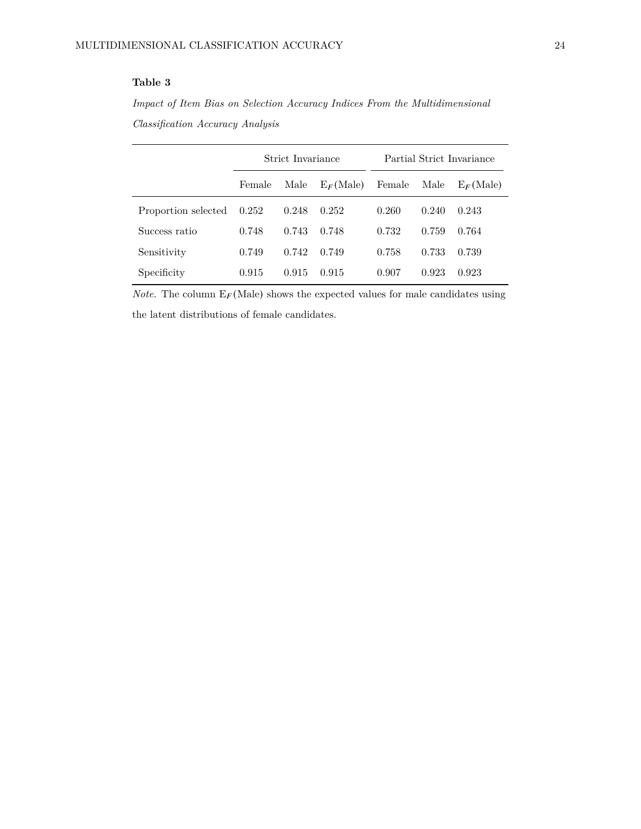## <span id="page-23-0"></span>**Table 3**

*Impact of Item Bias on Selection Accuracy Indices From the Multidimensional Classification Accuracy Analysis*

|                     |        | Strict Invariance |              |        |       | Partial Strict Invariance |
|---------------------|--------|-------------------|--------------|--------|-------|---------------------------|
|                     | Female | Male              | $E_F$ (Male) | Female | Male  | $E_F$ (Male)              |
| Proportion selected | 0.252  | 0.248             | 0.252        | 0.260  | 0.240 | 0.243                     |
| Success ratio       | 0.748  | 0.743             | 0.748        | 0.732  | 0.759 | 0.764                     |
| Sensitivity         | 0.749  | 0.742             | 0.749        | 0.758  | 0.733 | 0.739                     |
| Specificity         | 0.915  | 0.915             | 0.915        | 0.907  | 0.923 | 0.923                     |

*Note.* The column  $E_F$ (Male) shows the expected values for male candidates using the latent distributions of female candidates.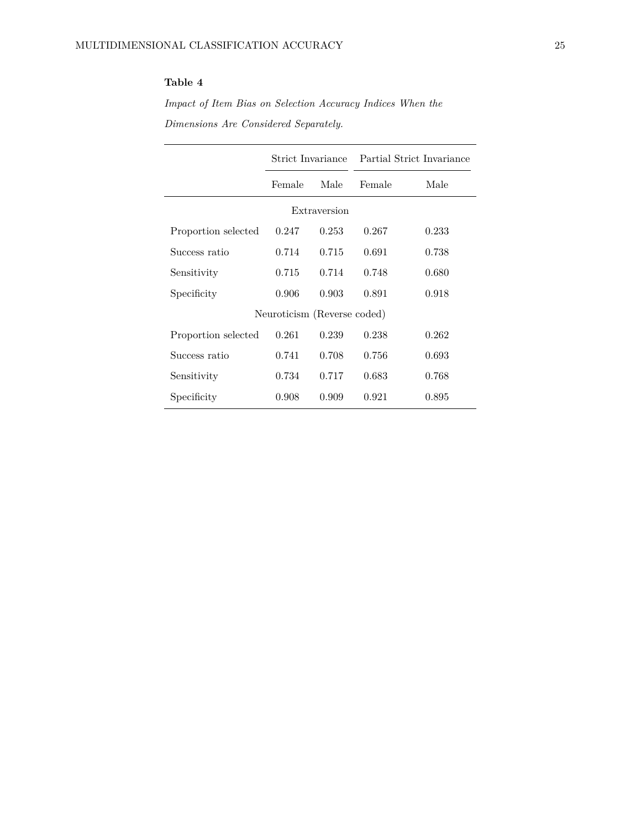## <span id="page-24-0"></span>**Table 4**

*Impact of Item Bias on Selection Accuracy Indices When the Dimensions Are Considered Separately.*

|                     |                             |              |        | Strict Invariance Partial Strict Invariance |
|---------------------|-----------------------------|--------------|--------|---------------------------------------------|
|                     | Female                      | Male         | Female | Male                                        |
|                     |                             | Extraversion |        |                                             |
| Proportion selected | 0.247                       | 0.253        | 0.267  | 0.233                                       |
| Success ratio       | 0.714                       | 0.715        | 0.691  | 0.738                                       |
| Sensitivity         | 0.715                       | 0.714        | 0.748  | 0.680                                       |
| Specificity         | 0.906                       | 0.903        | 0.891  | 0.918                                       |
|                     | Neuroticism (Reverse coded) |              |        |                                             |
| Proportion selected | 0.261                       | 0.239        | 0.238  | 0.262                                       |
| Success ratio       | 0.741                       | 0.708        | 0.756  | 0.693                                       |
| Sensitivity         | 0.734                       | 0.717        | 0.683  | 0.768                                       |
| Specificity         | 0.908                       | 0.909        | 0.921  | 0.895                                       |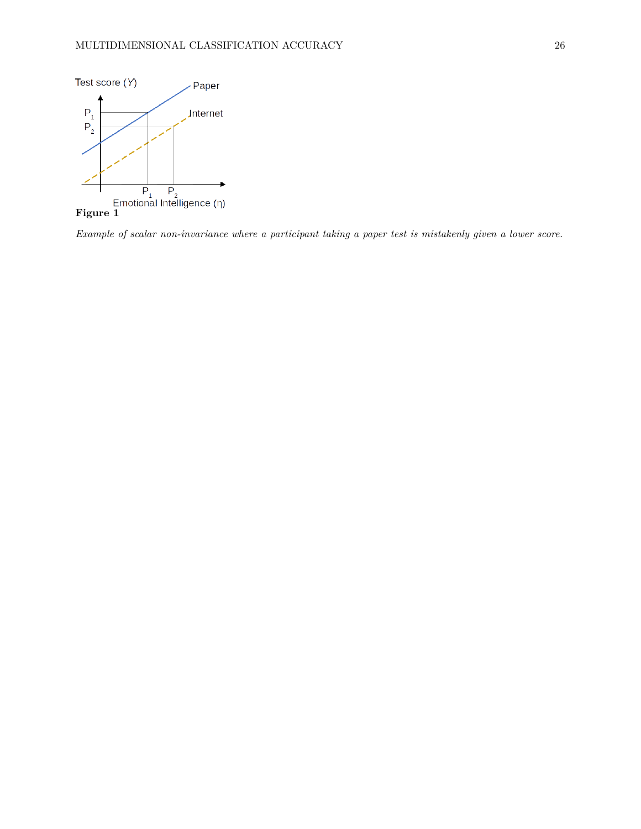<span id="page-25-0"></span>

*Example of scalar non-invariance where a participant taking a paper test is mistakenly given a lower score.*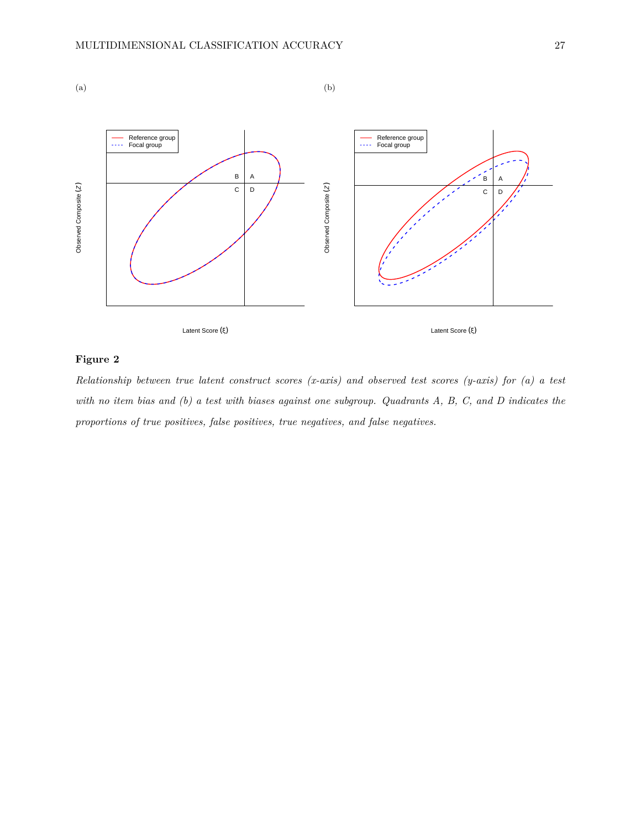<span id="page-26-0"></span>

## **Figure 2**

*Relationship between true latent construct scores (x-axis) and observed test scores (y-axis) for (a) a test with no item bias and (b) a test with biases against one subgroup. Quadrants A, B, C, and D indicates the proportions of true positives, false positives, true negatives, and false negatives.*